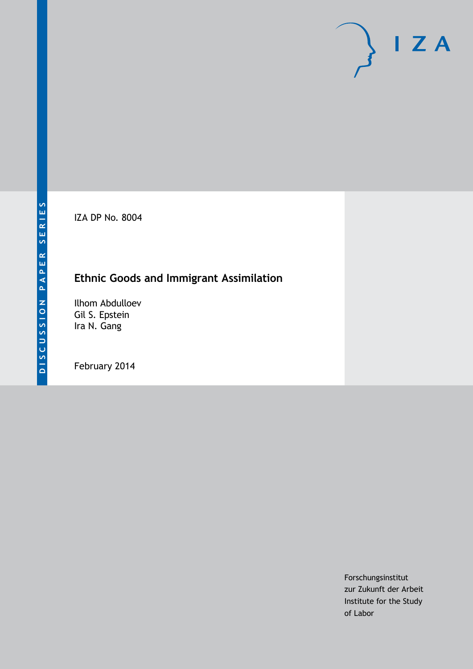IZA DP No. 8004

# **Ethnic Goods and Immigrant Assimilation**

Ilhom Abdulloev Gil S. Epstein Ira N. Gang

February 2014

Forschungsinstitut zur Zukunft der Arbeit Institute for the Study of Labor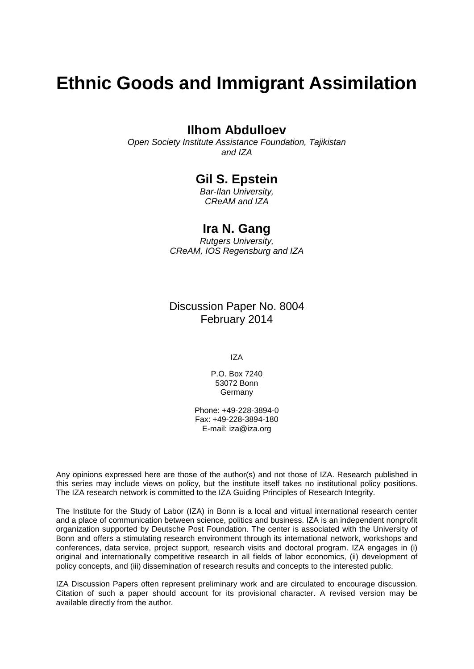# **Ethnic Goods and Immigrant Assimilation**

### **Ilhom Abdulloev**

*Open Society Institute Assistance Foundation, Tajikistan and IZA*

### **Gil S. Epstein**

*Bar-Ilan University, CReAM and IZA*

### **Ira N. Gang**

*Rutgers University, CReAM, IOS Regensburg and IZA*

Discussion Paper No. 8004 February 2014

IZA

P.O. Box 7240 53072 Bonn Germany

Phone: +49-228-3894-0 Fax: +49-228-3894-180 E-mail: [iza@iza.org](mailto:iza@iza.org)

Any opinions expressed here are those of the author(s) and not those of IZA. Research published in this series may include views on policy, but the institute itself takes no institutional policy positions. The IZA research network is committed to the IZA Guiding Principles of Research Integrity.

The Institute for the Study of Labor (IZA) in Bonn is a local and virtual international research center and a place of communication between science, politics and business. IZA is an independent nonprofit organization supported by Deutsche Post Foundation. The center is associated with the University of Bonn and offers a stimulating research environment through its international network, workshops and conferences, data service, project support, research visits and doctoral program. IZA engages in (i) original and internationally competitive research in all fields of labor economics, (ii) development of policy concepts, and (iii) dissemination of research results and concepts to the interested public.

<span id="page-1-0"></span>IZA Discussion Papers often represent preliminary work and are circulated to encourage discussion. Citation of such a paper should account for its provisional character. A revised version may be available directly from the author.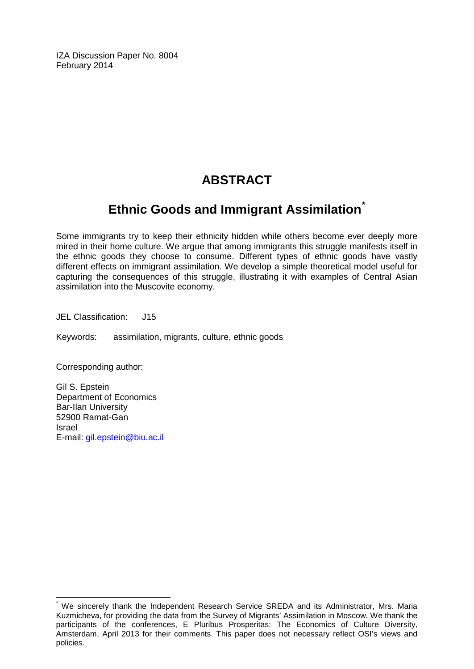IZA Discussion Paper No. 8004 February 2014

# **ABSTRACT**

## **Ethnic Goods and Immigrant Assimilation[\\*](#page-1-0)**

Some immigrants try to keep their ethnicity hidden while others become ever deeply more mired in their home culture. We argue that among immigrants this struggle manifests itself in the ethnic goods they choose to consume. Different types of ethnic goods have vastly different effects on immigrant assimilation. We develop a simple theoretical model useful for capturing the consequences of this struggle, illustrating it with examples of Central Asian assimilation into the Muscovite economy.

JEL Classification: J15

Keywords: assimilation, migrants, culture, ethnic goods

Corresponding author:

Gil S. Epstein Department of Economics Bar-Ilan University 52900 Ramat-Gan Israel E-mail: [gil.epstein@biu.ac.il](mailto:gil.epstein@biu.ac.il)

We sincerely thank the Independent Research Service SREDA and its Administrator, Mrs. Maria Kuzmicheva, for providing the data from the Survey of Migrants' Assimilation in Moscow. We thank the participants of the conferences, E Pluribus Prosperitas: The Economics of Culture Diversity, Amsterdam, April 2013 for their comments. This paper does not necessary reflect OSI's views and policies.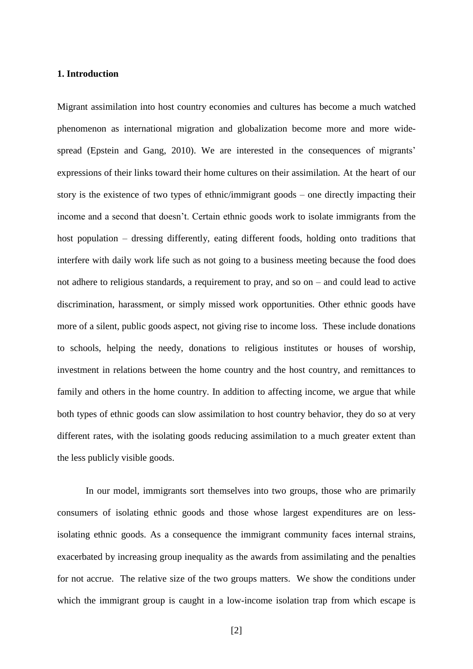#### **1. Introduction**

Migrant assimilation into host country economies and cultures has become a much watched phenomenon as international migration and globalization become more and more widespread (Epstein and Gang, 2010). We are interested in the consequences of migrants' expressions of their links toward their home cultures on their assimilation. At the heart of our story is the existence of two types of ethnic/immigrant goods – one directly impacting their income and a second that doesn't. Certain ethnic goods work to isolate immigrants from the host population – dressing differently, eating different foods, holding onto traditions that interfere with daily work life such as not going to a business meeting because the food does not adhere to religious standards, a requirement to pray, and so on – and could lead to active discrimination, harassment, or simply missed work opportunities. Other ethnic goods have more of a silent, public goods aspect, not giving rise to income loss. These include donations to schools, helping the needy, donations to religious institutes or houses of worship, investment in relations between the home country and the host country, and remittances to family and others in the home country. In addition to affecting income, we argue that while both types of ethnic goods can slow assimilation to host country behavior, they do so at very different rates, with the isolating goods reducing assimilation to a much greater extent than the less publicly visible goods.

In our model, immigrants sort themselves into two groups, those who are primarily consumers of isolating ethnic goods and those whose largest expenditures are on lessisolating ethnic goods. As a consequence the immigrant community faces internal strains, exacerbated by increasing group inequality as the awards from assimilating and the penalties for not accrue. The relative size of the two groups matters. We show the conditions under which the immigrant group is caught in a low-income isolation trap from which escape is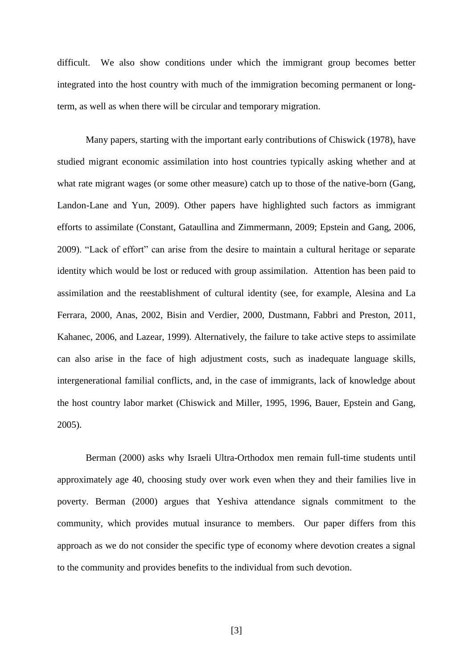difficult. We also show conditions under which the immigrant group becomes better integrated into the host country with much of the immigration becoming permanent or longterm, as well as when there will be circular and temporary migration.

Many papers, starting with the important early contributions of Chiswick (1978), have studied migrant economic assimilation into host countries typically asking whether and at what rate migrant wages (or some other measure) catch up to those of the native-born (Gang, Landon-Lane and Yun, 2009). Other papers have highlighted such factors as immigrant efforts to assimilate (Constant, Gataullina and Zimmermann, 2009; Epstein and Gang, 2006, 2009). "Lack of effort" can arise from the desire to maintain a cultural heritage or separate identity which would be lost or reduced with group assimilation. Attention has been paid to assimilation and the reestablishment of cultural identity (see, for example, Alesina and La Ferrara, 2000, Anas, 2002, Bisin and Verdier, 2000, Dustmann, Fabbri and Preston, 2011, Kahanec, 2006, and Lazear, 1999). Alternatively, the failure to take active steps to assimilate can also arise in the face of high adjustment costs, such as inadequate language skills, intergenerational familial conflicts, and, in the case of immigrants, lack of knowledge about the host country labor market (Chiswick and Miller, 1995, 1996, Bauer, Epstein and Gang, 2005).

Berman (2000) asks why Israeli Ultra-Orthodox men remain full-time students until approximately age 40, choosing study over work even when they and their families live in poverty. Berman (2000) argues that Yeshiva attendance signals commitment to the community, which provides mutual insurance to members. Our paper differs from this approach as we do not consider the specific type of economy where devotion creates a signal to the community and provides benefits to the individual from such devotion.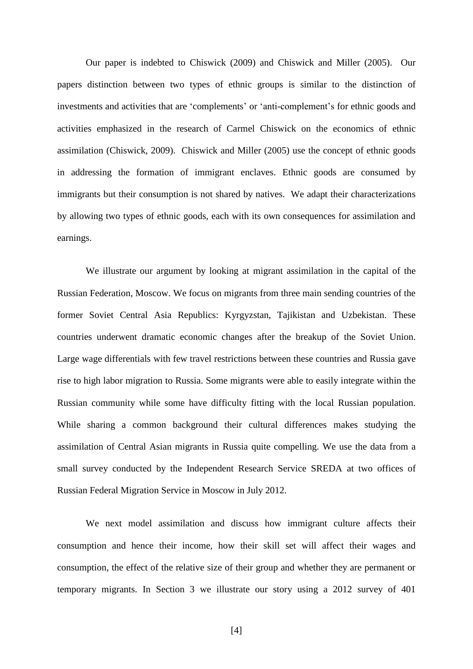Our paper is indebted to Chiswick (2009) and Chiswick and Miller (2005). Our papers distinction between two types of ethnic groups is similar to the distinction of investments and activities that are 'complements' or 'anti-complement's for ethnic goods and activities emphasized in the research of Carmel Chiswick on the economics of ethnic assimilation (Chiswick, 2009). Chiswick and Miller (2005) use the concept of ethnic goods in addressing the formation of immigrant enclaves. Ethnic goods are consumed by immigrants but their consumption is not shared by natives. We adapt their characterizations by allowing two types of ethnic goods, each with its own consequences for assimilation and earnings.

We illustrate our argument by looking at migrant assimilation in the capital of the Russian Federation, Moscow. We focus on migrants from three main sending countries of the former Soviet Central Asia Republics: Kyrgyzstan, Tajikistan and Uzbekistan. These countries underwent dramatic economic changes after the breakup of the Soviet Union. Large wage differentials with few travel restrictions between these countries and Russia gave rise to high labor migration to Russia. Some migrants were able to easily integrate within the Russian community while some have difficulty fitting with the local Russian population. While sharing a common background their cultural differences makes studying the assimilation of Central Asian migrants in Russia quite compelling. We use the data from a small survey conducted by the Independent Research Service SREDA at two offices of Russian Federal Migration Service in Moscow in July 2012.

We next model assimilation and discuss how immigrant culture affects their consumption and hence their income, how their skill set will affect their wages and consumption, the effect of the relative size of their group and whether they are permanent or temporary migrants. In Section 3 we illustrate our story using a 2012 survey of 401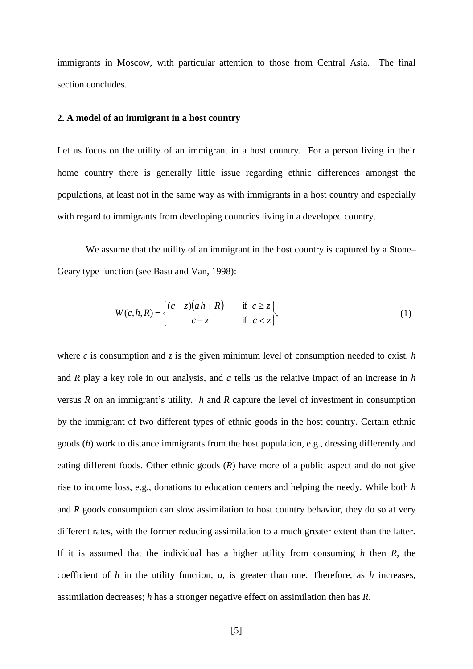immigrants in Moscow, with particular attention to those from Central Asia. The final section concludes.

#### **2. A model of an immigrant in a host country**

Let us focus on the utility of an immigrant in a host country. For a person living in their home country there is generally little issue regarding ethnic differences amongst the populations, at least not in the same way as with immigrants in a host country and especially with regard to immigrants from developing countries living in a developed country.

We assume that the utility of an immigrant in the host country is captured by a Stone– Geary type function (see Basu and Van, 1998):

$$
W(c,h,R) = \begin{cases} (c-z)(ah+R) & \text{if } c \geq z \\ c-z & \text{if } c < z \end{cases}
$$
 (1)

where *c* is consumption and *z* is the given minimum level of consumption needed to exist. *h* and *R* play a key role in our analysis, and *a* tells us the relative impact of an increase in *h* versus *R* on an immigrant's utility. *h* and *R* capture the level of investment in consumption by the immigrant of two different types of ethnic goods in the host country. Certain ethnic goods (*h*) work to distance immigrants from the host population, e.g., dressing differently and eating different foods. Other ethnic goods (*R*) have more of a public aspect and do not give rise to income loss, e.g., donations to education centers and helping the needy. While both *h* and *R* goods consumption can slow assimilation to host country behavior, they do so at very different rates, with the former reducing assimilation to a much greater extent than the latter. If it is assumed that the individual has a higher utility from consuming *h* then *R*, the coefficient of *h* in the utility function, *a*, is greater than one. Therefore, as *h* increases, assimilation decreases; *h* has a stronger negative effect on assimilation then has *R*.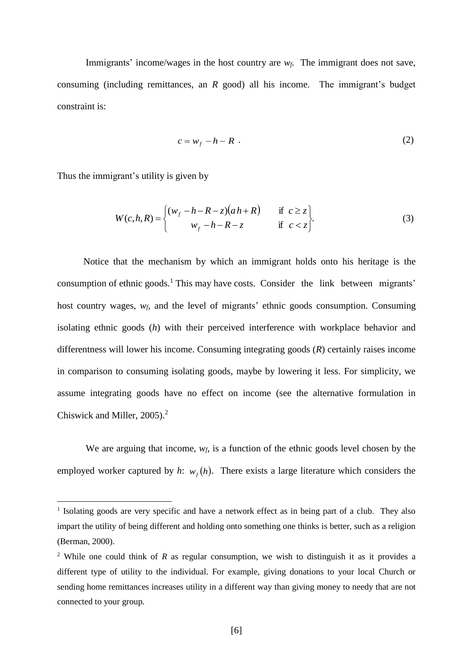Immigrants' income/wages in the host country are  $w_f$ . The immigrant does not save, consuming (including remittances, an *R* good) all his income. The immigrant's budget constraint is:

$$
c = w_f - h - R \tag{2}
$$

Thus the immigrant's utility is given by

<u>.</u>

$$
W(c,h,R) = \begin{cases} (w_f - h - R - z)(ah + R) & \text{if } c \ge z \\ w_f - h - R - z & \text{if } c < z \end{cases} \tag{3}
$$

 Notice that the mechanism by which an immigrant holds onto his heritage is the consumption of ethnic goods.<sup>1</sup> This may have costs. Consider the link between migrants' host country wages, *wf,* and the level of migrants' ethnic goods consumption. Consuming isolating ethnic goods (*h*) with their perceived interference with workplace behavior and differentness will lower his income. Consuming integrating goods (*R*) certainly raises income in comparison to consuming isolating goods, maybe by lowering it less. For simplicity, we assume integrating goods have no effect on income (see the alternative formulation in Chiswick and Miller, 2005). 2

We are arguing that income,  $w_f$  is a function of the ethnic goods level chosen by the employed worker captured by *h*:  $w_f(h)$ . There exists a large literature which considers the

<sup>&</sup>lt;sup>1</sup> Isolating goods are very specific and have a network effect as in being part of a club. They also impart the utility of being different and holding onto something one thinks is better, such as a religion (Berman, 2000).

<sup>&</sup>lt;sup>2</sup> While one could think of *R* as regular consumption, we wish to distinguish it as it provides a different type of utility to the individual. For example, giving donations to your local Church or sending home remittances increases utility in a different way than giving money to needy that are not connected to your group.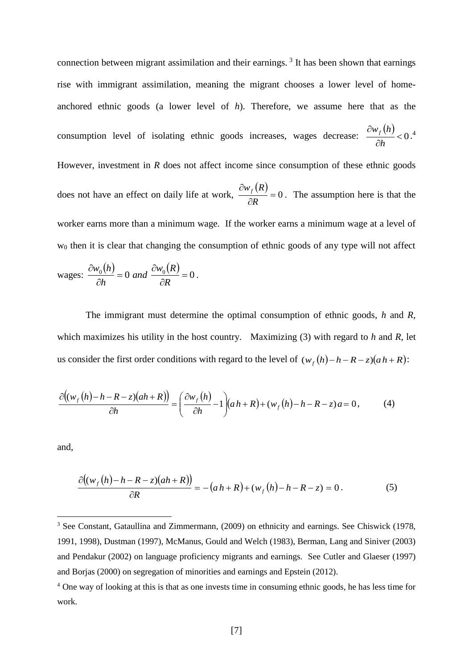connection between migrant assimilation and their earnings.<sup>3</sup> It has been shown that earnings rise with immigrant assimilation, meaning the migrant chooses a lower level of homeanchored ethnic goods (a lower level of *h*). Therefore, we assume here that as the consumption level of isolating ethnic goods increases, wages decrease:  $(h)$  $< 0$  $\hat{c}$  $\hat{o}$ *h*  $\frac{w_f(h)}{2}$  < 0.<sup>4</sup> However, investment in *R* does not affect income since consumption of these ethnic goods does not have an effect on daily life at work,  $(R)$  $=0$  $\hat{o}$  $\partial$ *R*  $\frac{w_f(R)}{R} = 0$ . The assumption here is that the worker earns more than a minimum wage. If the worker earns a minimum wage at a level of w<sup>0</sup> then it is clear that changing the consumption of ethnic goods of any type will not affect

wages: 
$$
\frac{\partial w_0(h)}{\partial h} = 0
$$
 and  $\frac{\partial w_0(R)}{\partial R} = 0$ .

The immigrant must determine the optimal consumption of ethnic goods, *h* and *R*, which maximizes his utility in the host country. Maximizing (3) with regard to *h* and *R*, let us consider the first order conditions with regard to the level of  $(w_f(h) - h - R - z)(ah + R)$ :

$$
\frac{\partial \left((w_f(h) - h - R - z)(ah + R)\right)}{\partial h} = \left(\frac{\partial w_f(h)}{\partial h} - 1\right)(ah + R) + (w_f(h) - h - R - z)a = 0,\tag{4}
$$

and,

<u>.</u>

$$
\frac{\partial((w_f(h) - h - R - z)(ah + R))}{\partial R} = -(ah + R) + (w_f(h) - h - R - z) = 0.
$$
 (5)

<sup>&</sup>lt;sup>3</sup> See Constant, Gataullina and Zimmermann, (2009) on ethnicity and earnings. See Chiswick (1978, 1991, 1998), Dustman (1997), McManus, Gould and Welch (1983), Berman, Lang and Siniver (2003) and Pendakur (2002) on language proficiency migrants and earnings. See Cutler and Glaeser (1997) and Borjas (2000) on segregation of minorities and earnings and Epstein (2012).

<sup>4</sup> One way of looking at this is that as one invests time in consuming ethnic goods, he has less time for work.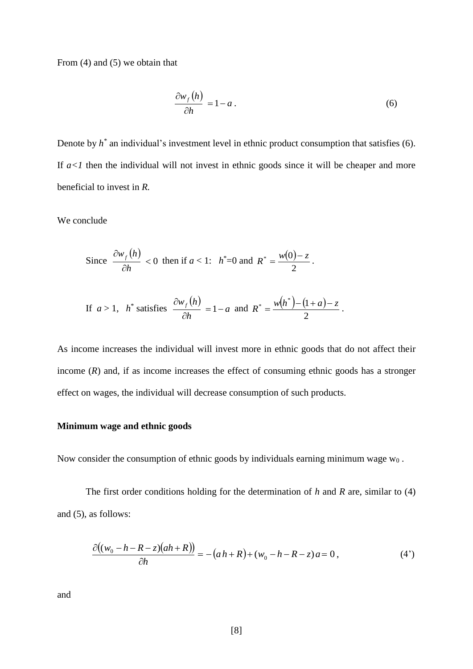From (4) and (5) we obtain that

$$
\frac{\partial w_f(h)}{\partial h} = 1 - a \,. \tag{6}
$$

2

Denote by  $h^*$  an individual's investment level in ethnic product consumption that satisfies  $(6)$ . If  $a < 1$  then the individual will not invest in ethnic goods since it will be cheaper and more beneficial to invest in *R.*

We conclude

Since 
$$
\frac{\partial w_f(h)}{\partial h} < 0
$$
 then if  $a < 1$ :  $h^* = 0$  and  $R^* = \frac{w(0) - z}{2}$ .  
If  $a > 1$ ,  $h^*$  satisfies  $\frac{\partial w_f(h)}{\partial h} = 1 - a$  and  $R^* = \frac{w(h^*) - (1 + a) - z}{2}$ .

*h*

 $\hat{o}$ 

As income increases the individual will invest more in ethnic goods that do not affect their income 
$$
(R)
$$
 and, if as income increases the effect of consuming ethnic goods has a stronger

effect on wages, the individual will decrease consumption of such products.

#### **Minimum wage and ethnic goods**

Now consider the consumption of ethnic goods by individuals earning minimum wage  $w_0$ .

The first order conditions holding for the determination of *h* and *R* are, similar to (4) and (5), as follows:

$$
\frac{\partial((w_0 - h - R - z)(ah + R))}{\partial h} = -(ah + R) + (w_0 - h - R - z)a = 0, \tag{4'}
$$

and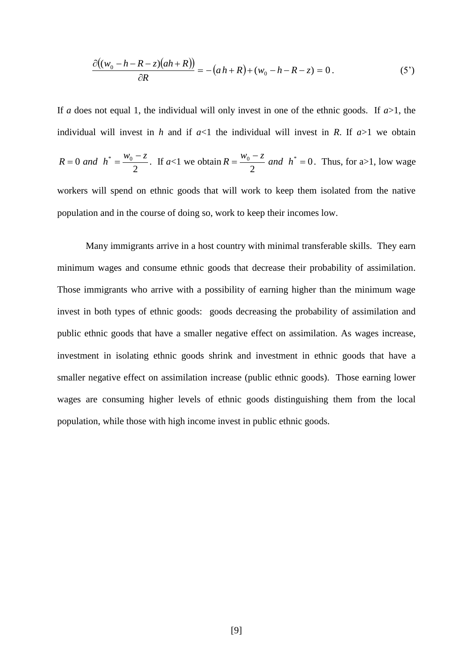$$
\frac{\partial((w_0 - h - R - z)(ah + R))}{\partial R} = -(ah + R) + (w_0 - h - R - z) = 0.
$$
 (5')

If *a* does not equal 1, the individual will only invest in one of the ethnic goods. If  $a > 1$ , the individual will invest in *h* and if  $a<1$  the individual will invest in *R*. If  $a>1$  we obtain 2  $R = 0$  *and*  $h^* = \frac{w_0 - z}{2}$  $\overline{a}$  $= 0$  and  $h^* = \frac{v_0 - c}{2}$ . If  $a < 1$  we obtain  $R = \frac{v_0 - c}{2}$  and  $h^* = 0$ 2  $\frac{0}{2}$  and  $h^* =$  $\overline{a}$  $=\frac{w_0 - z}{2}$  *and h*  $R = \frac{m_0}{r_0}$  and  $h^* = 0$ . Thus, for a>1, low wage workers will spend on ethnic goods that will work to keep them isolated from the native population and in the course of doing so, work to keep their incomes low.

Many immigrants arrive in a host country with minimal transferable skills. They earn minimum wages and consume ethnic goods that decrease their probability of assimilation. Those immigrants who arrive with a possibility of earning higher than the minimum wage invest in both types of ethnic goods: goods decreasing the probability of assimilation and public ethnic goods that have a smaller negative effect on assimilation. As wages increase, investment in isolating ethnic goods shrink and investment in ethnic goods that have a smaller negative effect on assimilation increase (public ethnic goods). Those earning lower wages are consuming higher levels of ethnic goods distinguishing them from the local population, while those with high income invest in public ethnic goods.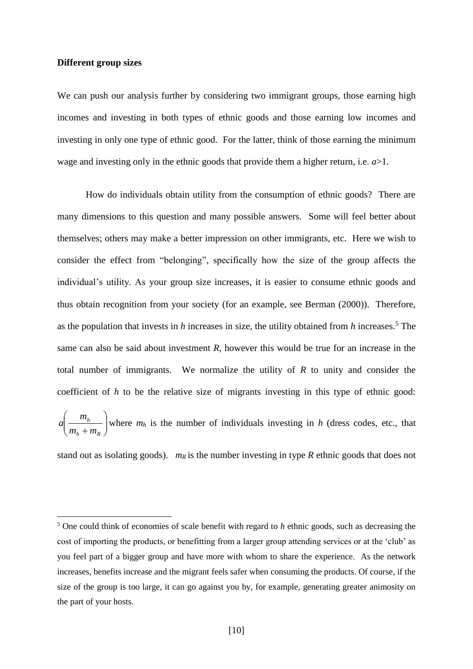#### **Different group sizes**

<u>.</u>

We can push our analysis further by considering two immigrant groups, those earning high incomes and investing in both types of ethnic goods and those earning low incomes and investing in only one type of ethnic good. For the latter, think of those earning the minimum wage and investing only in the ethnic goods that provide them a higher return, i.e. *a*>1.

How do individuals obtain utility from the consumption of ethnic goods? There are many dimensions to this question and many possible answers. Some will feel better about themselves; others may make a better impression on other immigrants, etc. Here we wish to consider the effect from "belonging", specifically how the size of the group affects the individual's utility. As your group size increases, it is easier to consume ethnic goods and thus obtain recognition from your society (for an example, see Berman (2000)). Therefore, as the population that invests in *h* increases in size, the utility obtained from *h* increases.<sup>5</sup> The same can also be said about investment *R*, however this would be true for an increase in the total number of immigrants. We normalize the utility of *R* to unity and consider the coefficient of *h* to be the relative size of migrants investing in this type of ethnic good:  $\overline{\phantom{a}}$  $\bigg)$  $\backslash$  $\overline{\phantom{a}}$  $\setminus$ ſ  $h + m_R$ *h*  $m<sub>h</sub> + m$ *m*  $a \left| \frac{m_h}{m} \right|$  where  $m_h$  is the number of individuals investing in *h* (dress codes, etc., that

stand out as isolating goods). *m<sup>R</sup>* is the number investing in type *R* ethnic goods that does not

<sup>5</sup> One could think of economies of scale benefit with regard to *h* ethnic goods, such as decreasing the cost of importing the products, or benefitting from a larger group attending services or at the 'club' as you feel part of a bigger group and have more with whom to share the experience. As the network increases, benefits increase and the migrant feels safer when consuming the products. Of course, if the size of the group is too large, it can go against you by, for example, generating greater animosity on the part of your hosts.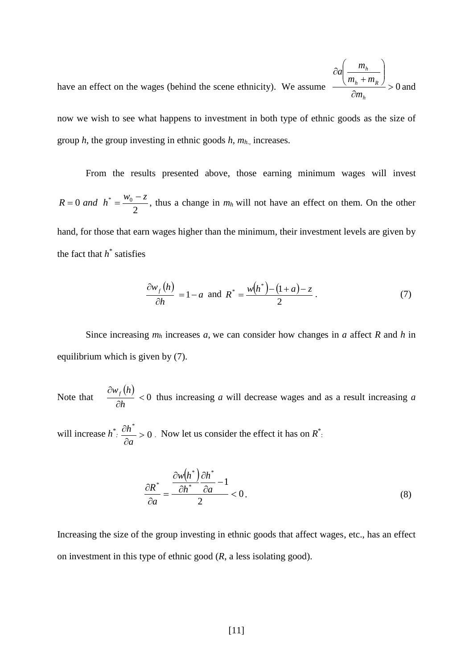have an effect on the wages (behind the scene ethnicity). We assume  $\partial$  $\overline{\phantom{a}}$  $\bigg)$  $\setminus$  $\parallel$  $\setminus$ ſ  $\overline{+}$  $\hat{o}$ *h*  $h \cdot \mu$ *h m*  $m<sub>h</sub> + m$ *m a* and

now we wish to see what happens to investment in both type of ethnic goods as the size of group *h*, the group investing in ethnic goods *h, mh.,* increases.

From the results presented above, those earning minimum wages will invest 2  $R = 0$  *and*  $h^* = \frac{W_0 - Z}{2}$  $\overline{a}$  $= 0$  and  $h^* = \frac{v_0 - c}{2}$ , thus a change in  $m_h$  will not have an effect on them. On the other hand, for those that earn wages higher than the minimum, their investment levels are given by the fact that  $h^*$  satisfies

$$
\frac{\partial w_f(h)}{\partial h} = 1 - a \text{ and } R^* = \frac{w(h^*) - (1 + a) - z}{2}.
$$
 (7)

Since increasing *m<sup>h</sup>* increases *a*, we can consider how changes in *a* affect *R* and *h* in equilibrium which is given by (7).

Note that  $(h)$  $< 0$  $\partial$  $\partial$ *h*  $\frac{w_f(h)}{dt}$  < 0 thus increasing *a* will decrease wages and as a result increasing *a* 

will increase  $h^* \nightharpoonup \frac{on}{\sim} > 0$ \*  $>$  $\partial$  $\partial$ *a*  $h^*$  > 0 . Now let us consider the effect it has on  $R^*$ :

$$
\frac{\partial R^*}{\partial a} = \frac{\frac{\partial w(h^*)}{\partial h^*} \frac{\partial h^*}{\partial a}}{2} < 0. \tag{8}
$$

Increasing the size of the group investing in ethnic goods that affect wages, etc., has an effect on investment in this type of ethnic good (*R*, a less isolating good).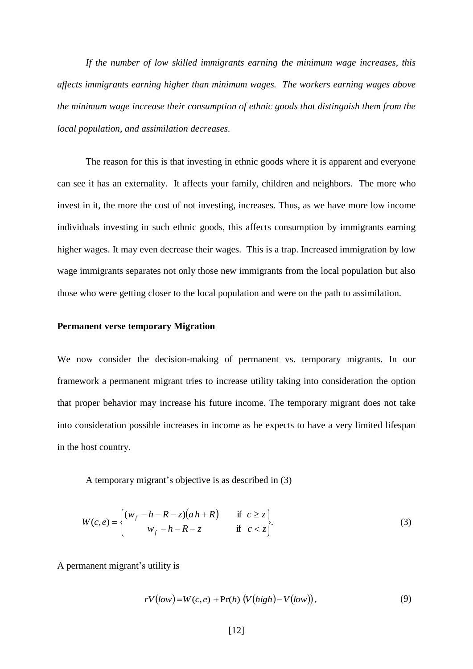*If the number of low skilled immigrants earning the minimum wage increases, this affects immigrants earning higher than minimum wages. The workers earning wages above the minimum wage increase their consumption of ethnic goods that distinguish them from the local population, and assimilation decreases.*

The reason for this is that investing in ethnic goods where it is apparent and everyone can see it has an externality. It affects your family, children and neighbors. The more who invest in it, the more the cost of not investing, increases. Thus, as we have more low income individuals investing in such ethnic goods, this affects consumption by immigrants earning higher wages. It may even decrease their wages. This is a trap. Increased immigration by low wage immigrants separates not only those new immigrants from the local population but also those who were getting closer to the local population and were on the path to assimilation.

#### **Permanent verse temporary Migration**

We now consider the decision-making of permanent vs. temporary migrants. In our framework a permanent migrant tries to increase utility taking into consideration the option that proper behavior may increase his future income. The temporary migrant does not take into consideration possible increases in income as he expects to have a very limited lifespan in the host country.

A temporary migrant's objective is as described in (3)

$$
W(c,e) = \begin{cases} (w_f - h - R - z)(ah + R) & \text{if } c \ge z \\ w_f - h - R - z & \text{if } c < z \end{cases}
$$
 (3)

A permanent migrant's utility is

$$
rV(low) = W(c, e) + Pr(h) (V(high) - V(low)), \qquad (9)
$$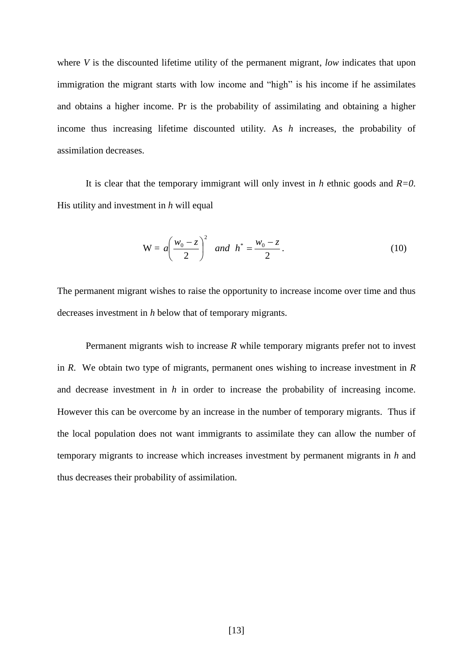where *V* is the discounted lifetime utility of the permanent migrant, *low* indicates that upon immigration the migrant starts with low income and "high" is his income if he assimilates and obtains a higher income. Pr is the probability of assimilating and obtaining a higher income thus increasing lifetime discounted utility. As *h* increases, the probability of assimilation decreases.

It is clear that the temporary immigrant will only invest in *h* ethnic goods and *R=0*. His utility and investment in *h* will equal

$$
W = a \left(\frac{w_0 - z}{2}\right)^2 \quad and \quad h^* = \frac{w_0 - z}{2} \,. \tag{10}
$$

The permanent migrant wishes to raise the opportunity to increase income over time and thus decreases investment in *h* below that of temporary migrants.

Permanent migrants wish to increase *R* while temporary migrants prefer not to invest in *R*. We obtain two type of migrants, permanent ones wishing to increase investment in *R* and decrease investment in *h* in order to increase the probability of increasing income. However this can be overcome by an increase in the number of temporary migrants. Thus if the local population does not want immigrants to assimilate they can allow the number of temporary migrants to increase which increases investment by permanent migrants in *h* and thus decreases their probability of assimilation.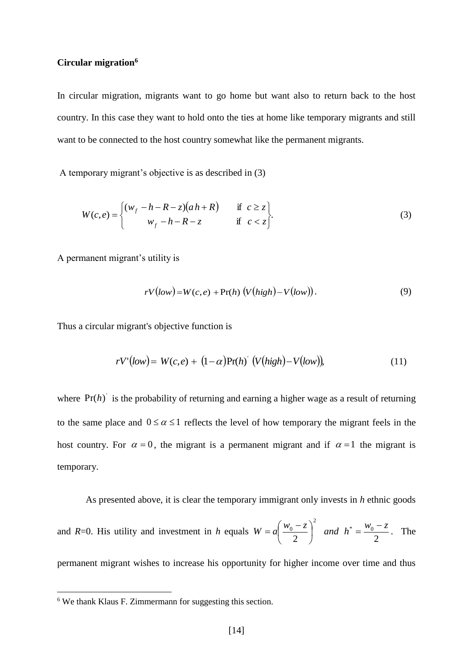#### **Circular migration<sup>6</sup>**

In circular migration, migrants want to go home but want also to return back to the host country. In this case they want to hold onto the ties at home like temporary migrants and still want to be connected to the host country somewhat like the permanent migrants.

A temporary migrant's objective is as described in (3)

$$
W(c,e) = \begin{cases} (w_f - h - R - z)(ah + R) & \text{if } c \ge z \\ w_f - h - R - z & \text{if } c < z \end{cases}
$$
 (3)

A permanent migrant's utility is

$$
rV(low) = W(c, e) + Pr(h) (V(high) - V(low)). \tag{9}
$$

Thus a circular migrant's objective function is

$$
rV'(low) = W(c, e) + (1 - \alpha)Pr(h) \left( V(high) - V(low) \right), \tag{11}
$$

where  $Pr(h)$  is the probability of returning and earning a higher wage as a result of returning to the same place and  $0 \le \alpha \le 1$  reflects the level of how temporary the migrant feels in the host country. For  $\alpha = 0$ , the migrant is a permanent migrant and if  $\alpha = 1$  the migrant is temporary.

As presented above, it is clear the temporary immigrant only invests in *h* ethnic goods and *R*=0. His utility and investment in *h* equals 2 ) 2 2  $\overline{ }$   $\overline{ }$   $\overline{ }$   $\overline{ }$   $\overline{ }$   $\overline{ }$   $\overline{ }$   $\overline{ }$   $\overline{ }$   $\overline{ }$   $\overline{ }$   $\overline{ }$   $\overline{ }$   $\overline{ }$   $\overline{ }$   $\overline{ }$   $\overline{ }$   $\overline{ }$   $\overline{ }$   $\overline{ }$   $\overline{ }$   $\overline{ }$   $\overline{ }$   $\overline{ }$   $\overline{ }$   $\overline{ }$   $\overline{ }$   $\overline{$  $\left(\frac{b}{2} - z\right)^2$  and  $h^* = \frac{w_0 - z}{2}$  $w_0 - z$  $W = a$  $\overline{a}$ | and  $h^*$  = J  $\left(\frac{w_0-z}{2}\right)$  $\setminus$  $= a \left( \frac{w_0 - z}{z} \right)^2$  and  $h^* = \frac{w_0 - z}{z}$ . The permanent migrant wishes to increase his opportunity for higher income over time and thus

1

<sup>6</sup> We thank Klaus F. Zimmermann for suggesting this section.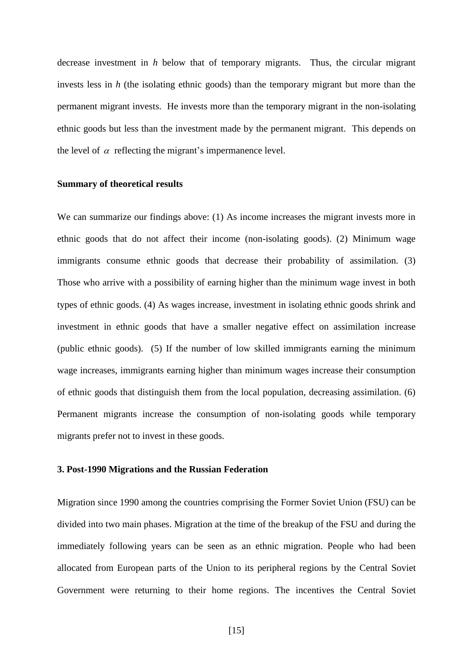decrease investment in *h* below that of temporary migrants. Thus, the circular migrant invests less in *h* (the isolating ethnic goods) than the temporary migrant but more than the permanent migrant invests. He invests more than the temporary migrant in the non-isolating ethnic goods but less than the investment made by the permanent migrant. This depends on the level of  $\alpha$  reflecting the migrant's impermanence level.

#### **Summary of theoretical results**

We can summarize our findings above: (1) As income increases the migrant invests more in ethnic goods that do not affect their income (non-isolating goods). (2) Minimum wage immigrants consume ethnic goods that decrease their probability of assimilation. (3) Those who arrive with a possibility of earning higher than the minimum wage invest in both types of ethnic goods. (4) As wages increase, investment in isolating ethnic goods shrink and investment in ethnic goods that have a smaller negative effect on assimilation increase (public ethnic goods). (5) If the number of low skilled immigrants earning the minimum wage increases, immigrants earning higher than minimum wages increase their consumption of ethnic goods that distinguish them from the local population, decreasing assimilation. (6) Permanent migrants increase the consumption of non-isolating goods while temporary migrants prefer not to invest in these goods.

#### **3. Post-1990 Migrations and the Russian Federation**

Migration since 1990 among the countries comprising the Former Soviet Union (FSU) can be divided into two main phases. Migration at the time of the breakup of the FSU and during the immediately following years can be seen as an ethnic migration. People who had been allocated from European parts of the Union to its peripheral regions by the Central Soviet Government were returning to their home regions. The incentives the Central Soviet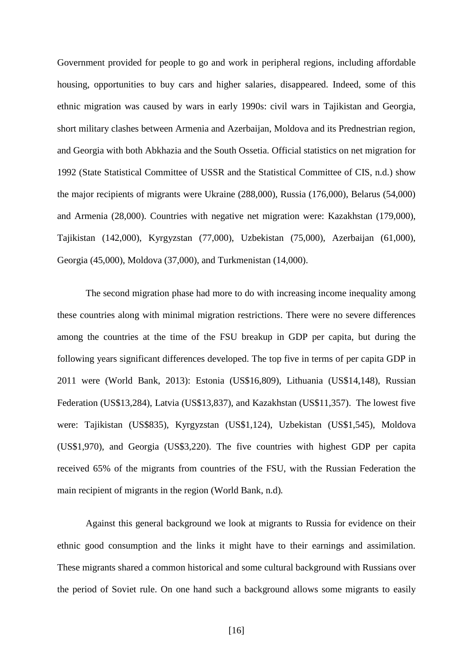Government provided for people to go and work in peripheral regions, including affordable housing, opportunities to buy cars and higher salaries, disappeared. Indeed, some of this ethnic migration was caused by wars in early 1990s: civil wars in Tajikistan and Georgia, short military clashes between Armenia and Azerbaijan, Moldova and its Prednestrian region, and Georgia with both Abkhazia and the South Ossetia. Official statistics on net migration for 1992 (State Statistical Committee of USSR and the Statistical Committee of CIS, n.d.) show the major recipients of migrants were Ukraine (288,000), Russia (176,000), Belarus (54,000) and Armenia (28,000). Countries with negative net migration were: Kazakhstan (179,000), Tajikistan (142,000), Kyrgyzstan (77,000), Uzbekistan (75,000), Azerbaijan (61,000), Georgia (45,000), Moldova (37,000), and Turkmenistan (14,000).

The second migration phase had more to do with increasing income inequality among these countries along with minimal migration restrictions. There were no severe differences among the countries at the time of the FSU breakup in GDP per capita, but during the following years significant differences developed. The top five in terms of per capita GDP in 2011 were (World Bank, 2013): Estonia (US\$16,809), Lithuania (US\$14,148), Russian Federation (US\$13,284), Latvia (US\$13,837), and Kazakhstan (US\$11,357). The lowest five were: Tajikistan (US\$835), Kyrgyzstan (US\$1,124), Uzbekistan (US\$1,545), Moldova (US\$1,970), and Georgia (US\$3,220). The five countries with highest GDP per capita received 65% of the migrants from countries of the FSU, with the Russian Federation the main recipient of migrants in the region (World Bank, n.d)*.*

Against this general background we look at migrants to Russia for evidence on their ethnic good consumption and the links it might have to their earnings and assimilation. These migrants shared a common historical and some cultural background with Russians over the period of Soviet rule. On one hand such a background allows some migrants to easily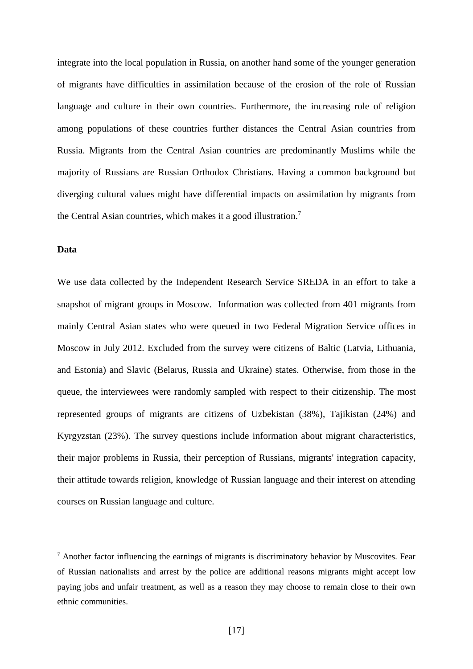integrate into the local population in Russia, on another hand some of the younger generation of migrants have difficulties in assimilation because of the erosion of the role of Russian language and culture in their own countries. Furthermore, the increasing role of religion among populations of these countries further distances the Central Asian countries from Russia. Migrants from the Central Asian countries are predominantly Muslims while the majority of Russians are Russian Orthodox Christians. Having a common background but diverging cultural values might have differential impacts on assimilation by migrants from the Central Asian countries, which makes it a good illustration.<sup>7</sup>

#### **Data**

<u>.</u>

We use data collected by the Independent Research Service SREDA in an effort to take a snapshot of migrant groups in Moscow. Information was collected from 401 migrants from mainly Central Asian states who were queued in two Federal Migration Service offices in Moscow in July 2012. Excluded from the survey were citizens of Baltic (Latvia, Lithuania, and Estonia) and Slavic (Belarus, Russia and Ukraine) states. Otherwise, from those in the queue, the interviewees were randomly sampled with respect to their citizenship. The most represented groups of migrants are citizens of Uzbekistan (38%), Tajikistan (24%) and Kyrgyzstan (23%). The survey questions include information about migrant characteristics, their major problems in Russia, their perception of Russians, migrants' integration capacity, their attitude towards religion, knowledge of Russian language and their interest on attending courses on Russian language and culture.

<sup>7</sup> Another factor influencing the earnings of migrants is discriminatory behavior by Muscovites. Fear of Russian nationalists and arrest by the police are additional reasons migrants might accept low paying jobs and unfair treatment, as well as a reason they may choose to remain close to their own ethnic communities.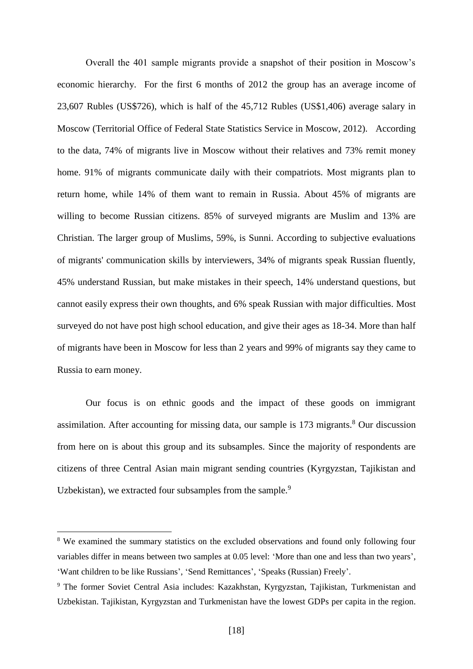Overall the 401 sample migrants provide a snapshot of their position in Moscow's economic hierarchy. For the first 6 months of 2012 the group has an average income of 23,607 Rubles (US\$726), which is half of the 45,712 Rubles (US\$1,406) average salary in Moscow (Territorial Office of Federal State Statistics Service in Moscow, 2012). According to the data, 74% of migrants live in Moscow without their relatives and 73% remit money home. 91% of migrants communicate daily with their compatriots. Most migrants plan to return home, while 14% of them want to remain in Russia. About 45% of migrants are willing to become Russian citizens. 85% of surveyed migrants are Muslim and 13% are Christian. The larger group of Muslims, 59%, is Sunni. According to subjective evaluations of migrants' communication skills by interviewers, 34% of migrants speak Russian fluently, 45% understand Russian, but make mistakes in their speech, 14% understand questions, but cannot easily express their own thoughts, and 6% speak Russian with major difficulties. Most surveyed do not have post high school education, and give their ages as 18-34. More than half of migrants have been in Moscow for less than 2 years and 99% of migrants say they came to Russia to earn money.

Our focus is on ethnic goods and the impact of these goods on immigrant assimilation. After accounting for missing data, our sample is  $173$  migrants.<sup>8</sup> Our discussion from here on is about this group and its subsamples. Since the majority of respondents are citizens of three Central Asian main migrant sending countries (Kyrgyzstan, Tajikistan and Uzbekistan), we extracted four subsamples from the sample.<sup>9</sup>

1

<sup>&</sup>lt;sup>8</sup> We examined the summary statistics on the excluded observations and found only following four variables differ in means between two samples at 0.05 level: 'More than one and less than two years', 'Want children to be like Russians', 'Send Remittances', 'Speaks (Russian) Freely'.

<sup>9</sup> The former Soviet Central Asia includes: Kazakhstan, Kyrgyzstan, Tajikistan, Turkmenistan and Uzbekistan. Tajikistan, Kyrgyzstan and Turkmenistan have the lowest GDPs per capita in the region.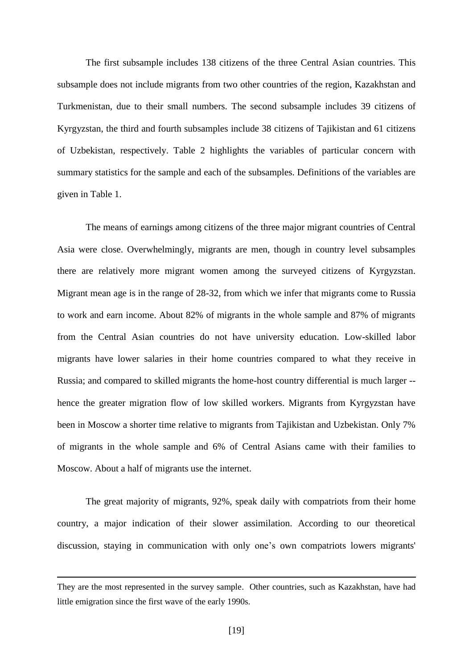The first subsample includes 138 citizens of the three Central Asian countries. This subsample does not include migrants from two other countries of the region, Kazakhstan and Turkmenistan, due to their small numbers. The second subsample includes 39 citizens of Kyrgyzstan, the third and fourth subsamples include 38 citizens of Tajikistan and 61 citizens of Uzbekistan, respectively. Table 2 highlights the variables of particular concern with summary statistics for the sample and each of the subsamples. Definitions of the variables are given in Table 1.

The means of earnings among citizens of the three major migrant countries of Central Asia were close. Overwhelmingly, migrants are men, though in country level subsamples there are relatively more migrant women among the surveyed citizens of Kyrgyzstan. Migrant mean age is in the range of 28-32, from which we infer that migrants come to Russia to work and earn income. About 82% of migrants in the whole sample and 87% of migrants from the Central Asian countries do not have university education. Low-skilled labor migrants have lower salaries in their home countries compared to what they receive in Russia; and compared to skilled migrants the home-host country differential is much larger - hence the greater migration flow of low skilled workers. Migrants from Kyrgyzstan have been in Moscow a shorter time relative to migrants from Tajikistan and Uzbekistan. Only 7% of migrants in the whole sample and 6% of Central Asians came with their families to Moscow. About a half of migrants use the internet.

The great majority of migrants, 92%, speak daily with compatriots from their home country, a major indication of their slower assimilation. According to our theoretical discussion, staying in communication with only one's own compatriots lowers migrants'

1

They are the most represented in the survey sample. Other countries, such as Kazakhstan, have had little emigration since the first wave of the early 1990s.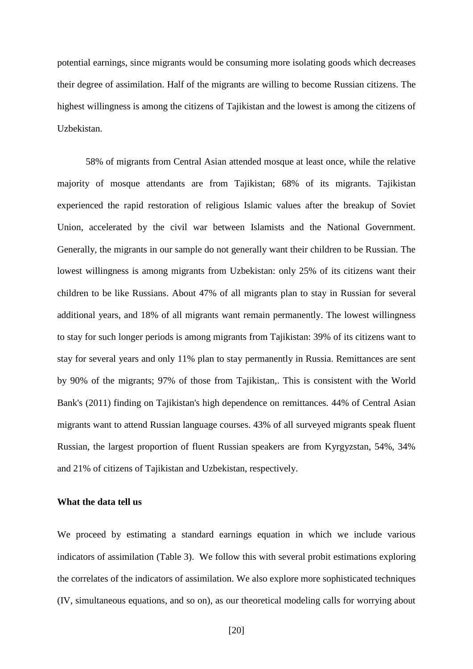potential earnings, since migrants would be consuming more isolating goods which decreases their degree of assimilation. Half of the migrants are willing to become Russian citizens. The highest willingness is among the citizens of Tajikistan and the lowest is among the citizens of Uzbekistan.

58% of migrants from Central Asian attended mosque at least once, while the relative majority of mosque attendants are from Tajikistan; 68% of its migrants. Tajikistan experienced the rapid restoration of religious Islamic values after the breakup of Soviet Union, accelerated by the civil war between Islamists and the National Government. Generally, the migrants in our sample do not generally want their children to be Russian. The lowest willingness is among migrants from Uzbekistan: only 25% of its citizens want their children to be like Russians. About 47% of all migrants plan to stay in Russian for several additional years, and 18% of all migrants want remain permanently. The lowest willingness to stay for such longer periods is among migrants from Tajikistan: 39% of its citizens want to stay for several years and only 11% plan to stay permanently in Russia. Remittances are sent by 90% of the migrants; 97% of those from Tajikistan,. This is consistent with the World Bank's (2011) finding on Tajikistan's high dependence on remittances. 44% of Central Asian migrants want to attend Russian language courses. 43% of all surveyed migrants speak fluent Russian, the largest proportion of fluent Russian speakers are from Kyrgyzstan, 54%, 34% and 21% of citizens of Tajikistan and Uzbekistan, respectively.

#### **What the data tell us**

We proceed by estimating a standard earnings equation in which we include various indicators of assimilation (Table 3). We follow this with several probit estimations exploring the correlates of the indicators of assimilation. We also explore more sophisticated techniques (IV, simultaneous equations, and so on), as our theoretical modeling calls for worrying about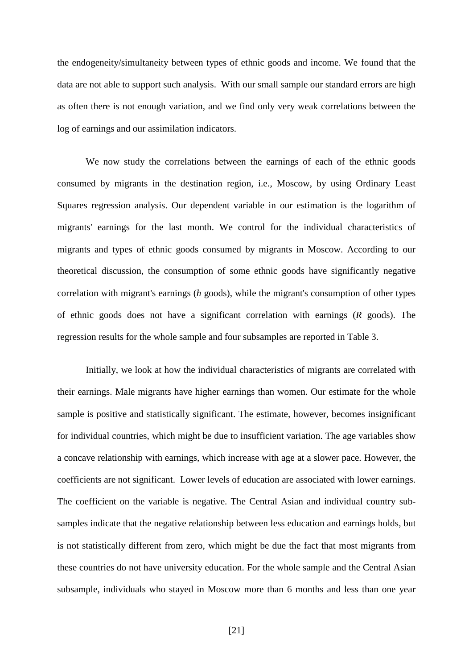the endogeneity/simultaneity between types of ethnic goods and income. We found that the data are not able to support such analysis. With our small sample our standard errors are high as often there is not enough variation, and we find only very weak correlations between the log of earnings and our assimilation indicators.

We now study the correlations between the earnings of each of the ethnic goods consumed by migrants in the destination region, i.e., Moscow, by using Ordinary Least Squares regression analysis. Our dependent variable in our estimation is the logarithm of migrants' earnings for the last month. We control for the individual characteristics of migrants and types of ethnic goods consumed by migrants in Moscow. According to our theoretical discussion, the consumption of some ethnic goods have significantly negative correlation with migrant's earnings (*h* goods), while the migrant's consumption of other types of ethnic goods does not have a significant correlation with earnings (*R* goods). The regression results for the whole sample and four subsamples are reported in Table 3.

Initially, we look at how the individual characteristics of migrants are correlated with their earnings. Male migrants have higher earnings than women. Our estimate for the whole sample is positive and statistically significant. The estimate, however, becomes insignificant for individual countries, which might be due to insufficient variation. The age variables show a concave relationship with earnings, which increase with age at a slower pace. However, the coefficients are not significant. Lower levels of education are associated with lower earnings. The coefficient on the variable is negative. The Central Asian and individual country subsamples indicate that the negative relationship between less education and earnings holds, but is not statistically different from zero, which might be due the fact that most migrants from these countries do not have university education. For the whole sample and the Central Asian subsample, individuals who stayed in Moscow more than 6 months and less than one year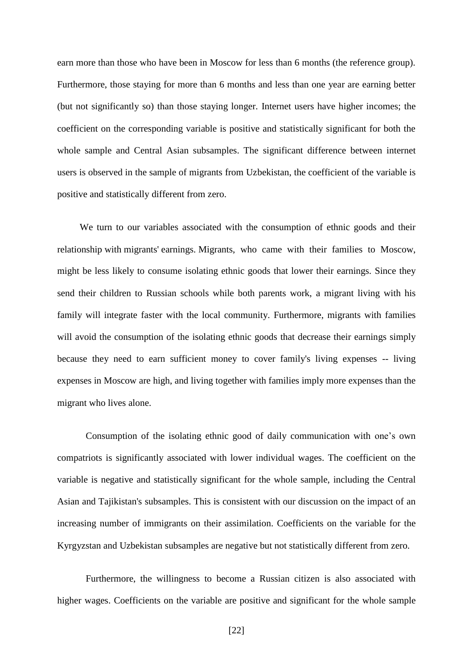earn more than those who have been in Moscow for less than 6 months (the reference group). Furthermore, those staying for more than 6 months and less than one year are earning better (but not significantly so) than those staying longer. Internet users have higher incomes; the coefficient on the corresponding variable is positive and statistically significant for both the whole sample and Central Asian subsamples. The significant difference between internet users is observed in the sample of migrants from Uzbekistan, the coefficient of the variable is positive and statistically different from zero.

We turn to our variables associated with the consumption of ethnic goods and their relationship with migrants' earnings. Migrants, who came with their families to Moscow, might be less likely to consume isolating ethnic goods that lower their earnings. Since they send their children to Russian schools while both parents work, a migrant living with his family will integrate faster with the local community. Furthermore, migrants with families will avoid the consumption of the isolating ethnic goods that decrease their earnings simply because they need to earn sufficient money to cover family's living expenses -- living expenses in Moscow are high, and living together with families imply more expenses than the migrant who lives alone.

Consumption of the isolating ethnic good of daily communication with one's own compatriots is significantly associated with lower individual wages. The coefficient on the variable is negative and statistically significant for the whole sample, including the Central Asian and Tajikistan's subsamples. This is consistent with our discussion on the impact of an increasing number of immigrants on their assimilation. Coefficients on the variable for the Kyrgyzstan and Uzbekistan subsamples are negative but not statistically different from zero.

Furthermore, the willingness to become a Russian citizen is also associated with higher wages. Coefficients on the variable are positive and significant for the whole sample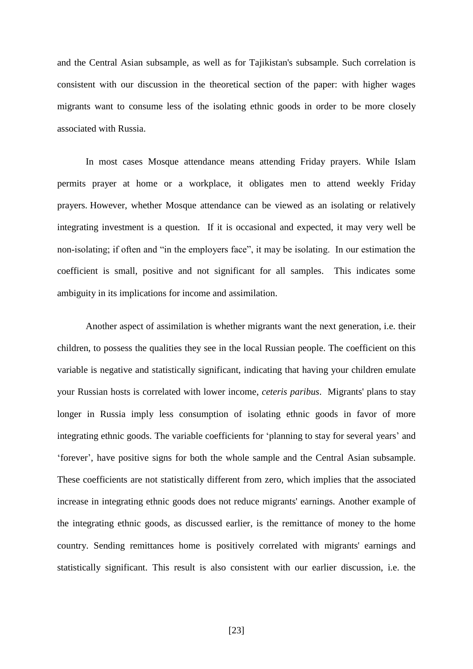and the Central Asian subsample, as well as for Tajikistan's subsample. Such correlation is consistent with our discussion in the theoretical section of the paper: with higher wages migrants want to consume less of the isolating ethnic goods in order to be more closely associated with Russia.

In most cases Mosque attendance means attending Friday prayers. While Islam permits prayer at home or a workplace, it obligates men to attend weekly Friday prayers. However, whether Mosque attendance can be viewed as an isolating or relatively integrating investment is a question. If it is occasional and expected, it may very well be non-isolating; if often and "in the employers face", it may be isolating. In our estimation the coefficient is small, positive and not significant for all samples. This indicates some ambiguity in its implications for income and assimilation.

Another aspect of assimilation is whether migrants want the next generation, i.e. their children, to possess the qualities they see in the local Russian people. The coefficient on this variable is negative and statistically significant, indicating that having your children emulate your Russian hosts is correlated with lower income, *ceteris paribus*. Migrants' plans to stay longer in Russia imply less consumption of isolating ethnic goods in favor of more integrating ethnic goods. The variable coefficients for 'planning to stay for several years' and 'forever', have positive signs for both the whole sample and the Central Asian subsample. These coefficients are not statistically different from zero, which implies that the associated increase in integrating ethnic goods does not reduce migrants' earnings. Another example of the integrating ethnic goods, as discussed earlier, is the remittance of money to the home country. Sending remittances home is positively correlated with migrants' earnings and statistically significant. This result is also consistent with our earlier discussion, i.e. the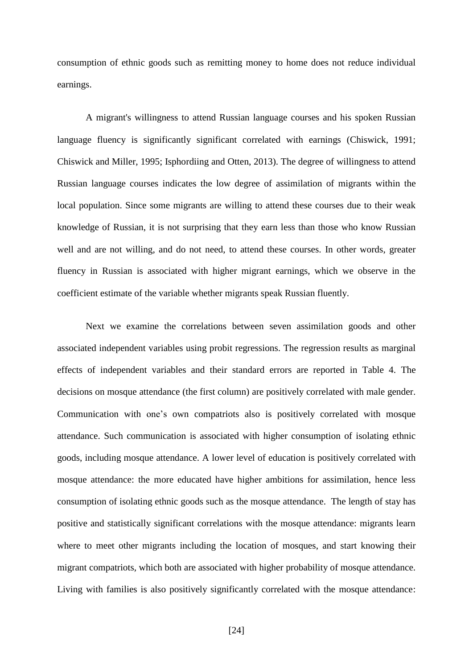consumption of ethnic goods such as remitting money to home does not reduce individual earnings.

A migrant's willingness to attend Russian language courses and his spoken Russian language fluency is significantly significant correlated with earnings (Chiswick, 1991; Chiswick and Miller, 1995; Isphordiing and Otten, 2013). The degree of willingness to attend Russian language courses indicates the low degree of assimilation of migrants within the local population. Since some migrants are willing to attend these courses due to their weak knowledge of Russian, it is not surprising that they earn less than those who know Russian well and are not willing, and do not need, to attend these courses. In other words, greater fluency in Russian is associated with higher migrant earnings, which we observe in the coefficient estimate of the variable whether migrants speak Russian fluently.

Next we examine the correlations between seven assimilation goods and other associated independent variables using probit regressions. The regression results as marginal effects of independent variables and their standard errors are reported in Table 4. The decisions on mosque attendance (the first column) are positively correlated with male gender. Communication with one's own compatriots also is positively correlated with mosque attendance. Such communication is associated with higher consumption of isolating ethnic goods, including mosque attendance. A lower level of education is positively correlated with mosque attendance: the more educated have higher ambitions for assimilation, hence less consumption of isolating ethnic goods such as the mosque attendance. The length of stay has positive and statistically significant correlations with the mosque attendance: migrants learn where to meet other migrants including the location of mosques, and start knowing their migrant compatriots, which both are associated with higher probability of mosque attendance. Living with families is also positively significantly correlated with the mosque attendance: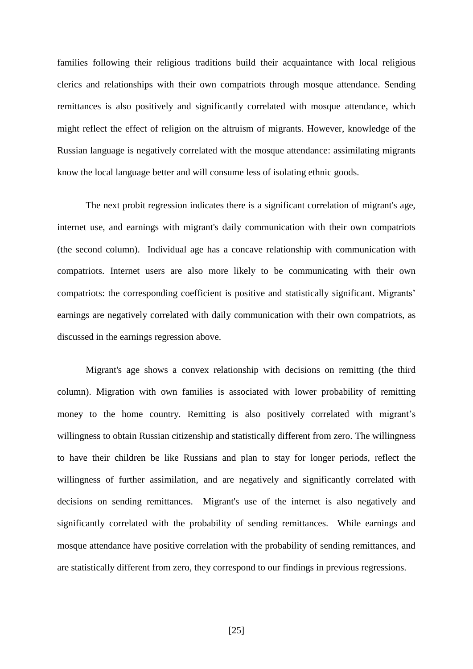families following their religious traditions build their acquaintance with local religious clerics and relationships with their own compatriots through mosque attendance. Sending remittances is also positively and significantly correlated with mosque attendance, which might reflect the effect of religion on the altruism of migrants. However, knowledge of the Russian language is negatively correlated with the mosque attendance: assimilating migrants know the local language better and will consume less of isolating ethnic goods.

The next probit regression indicates there is a significant correlation of migrant's age, internet use, and earnings with migrant's daily communication with their own compatriots (the second column). Individual age has a concave relationship with communication with compatriots. Internet users are also more likely to be communicating with their own compatriots: the corresponding coefficient is positive and statistically significant. Migrants' earnings are negatively correlated with daily communication with their own compatriots, as discussed in the earnings regression above.

Migrant's age shows a convex relationship with decisions on remitting (the third column). Migration with own families is associated with lower probability of remitting money to the home country. Remitting is also positively correlated with migrant's willingness to obtain Russian citizenship and statistically different from zero. The willingness to have their children be like Russians and plan to stay for longer periods, reflect the willingness of further assimilation, and are negatively and significantly correlated with decisions on sending remittances. Migrant's use of the internet is also negatively and significantly correlated with the probability of sending remittances. While earnings and mosque attendance have positive correlation with the probability of sending remittances, and are statistically different from zero, they correspond to our findings in previous regressions.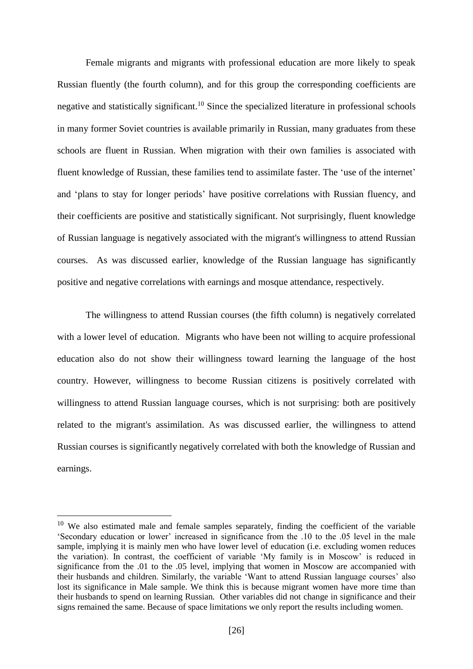Female migrants and migrants with professional education are more likely to speak Russian fluently (the fourth column), and for this group the corresponding coefficients are negative and statistically significant.<sup>10</sup> Since the specialized literature in professional schools in many former Soviet countries is available primarily in Russian, many graduates from these schools are fluent in Russian. When migration with their own families is associated with fluent knowledge of Russian, these families tend to assimilate faster. The 'use of the internet' and 'plans to stay for longer periods' have positive correlations with Russian fluency, and their coefficients are positive and statistically significant. Not surprisingly, fluent knowledge of Russian language is negatively associated with the migrant's willingness to attend Russian courses. As was discussed earlier, knowledge of the Russian language has significantly positive and negative correlations with earnings and mosque attendance, respectively.

The willingness to attend Russian courses (the fifth column) is negatively correlated with a lower level of education. Migrants who have been not willing to acquire professional education also do not show their willingness toward learning the language of the host country. However, willingness to become Russian citizens is positively correlated with willingness to attend Russian language courses, which is not surprising: both are positively related to the migrant's assimilation. As was discussed earlier, the willingness to attend Russian courses is significantly negatively correlated with both the knowledge of Russian and earnings.

1

 $10$  We also estimated male and female samples separately, finding the coefficient of the variable 'Secondary education or lower' increased in significance from the .10 to the .05 level in the male sample, implying it is mainly men who have lower level of education (i.e. excluding women reduces the variation). In contrast, the coefficient of variable 'My family is in Moscow' is reduced in significance from the .01 to the .05 level, implying that women in Moscow are accompanied with their husbands and children. Similarly, the variable 'Want to attend Russian language courses' also lost its significance in Male sample. We think this is because migrant women have more time than their husbands to spend on learning Russian. Other variables did not change in significance and their signs remained the same. Because of space limitations we only report the results including women.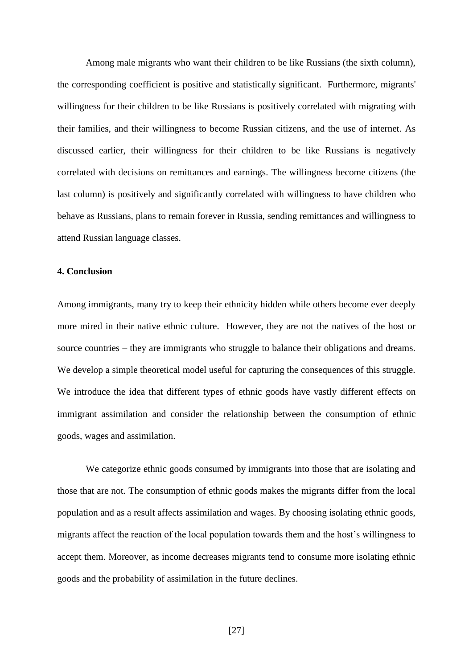Among male migrants who want their children to be like Russians (the sixth column), the corresponding coefficient is positive and statistically significant. Furthermore, migrants' willingness for their children to be like Russians is positively correlated with migrating with their families, and their willingness to become Russian citizens, and the use of internet. As discussed earlier, their willingness for their children to be like Russians is negatively correlated with decisions on remittances and earnings. The willingness become citizens (the last column) is positively and significantly correlated with willingness to have children who behave as Russians, plans to remain forever in Russia, sending remittances and willingness to attend Russian language classes.

#### **4. Conclusion**

Among immigrants, many try to keep their ethnicity hidden while others become ever deeply more mired in their native ethnic culture. However, they are not the natives of the host or source countries – they are immigrants who struggle to balance their obligations and dreams. We develop a simple theoretical model useful for capturing the consequences of this struggle. We introduce the idea that different types of ethnic goods have vastly different effects on immigrant assimilation and consider the relationship between the consumption of ethnic goods, wages and assimilation.

We categorize ethnic goods consumed by immigrants into those that are isolating and those that are not. The consumption of ethnic goods makes the migrants differ from the local population and as a result affects assimilation and wages. By choosing isolating ethnic goods, migrants affect the reaction of the local population towards them and the host's willingness to accept them. Moreover, as income decreases migrants tend to consume more isolating ethnic goods and the probability of assimilation in the future declines.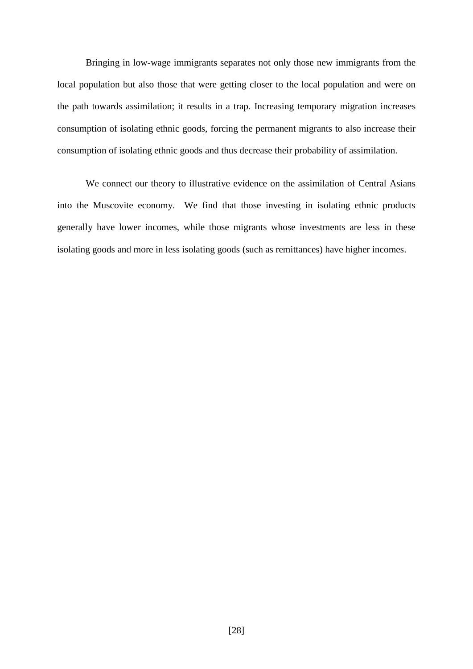Bringing in low-wage immigrants separates not only those new immigrants from the local population but also those that were getting closer to the local population and were on the path towards assimilation; it results in a trap. Increasing temporary migration increases consumption of isolating ethnic goods, forcing the permanent migrants to also increase their consumption of isolating ethnic goods and thus decrease their probability of assimilation.

We connect our theory to illustrative evidence on the assimilation of Central Asians into the Muscovite economy. We find that those investing in isolating ethnic products generally have lower incomes, while those migrants whose investments are less in these isolating goods and more in less isolating goods (such as remittances) have higher incomes.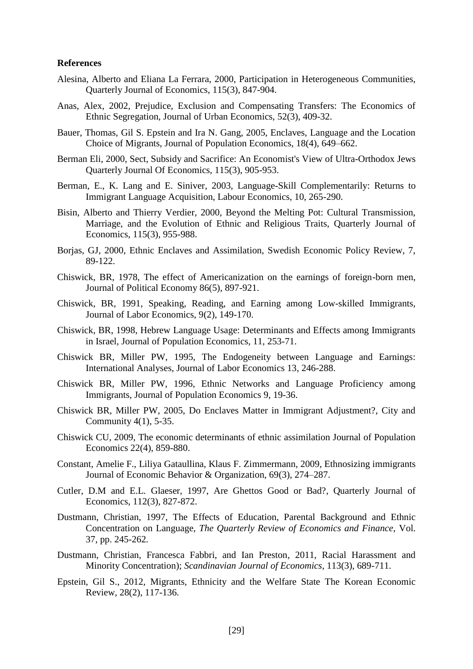#### **References**

- Alesina, Alberto and Eliana La Ferrara, 2000, Participation in Heterogeneous Communities, Quarterly Journal of Economics, 115(3), 847-904.
- Anas, Alex, 2002, Prejudice, Exclusion and Compensating Transfers: The Economics of Ethnic Segregation, Journal of Urban Economics, 52(3), 409-32.
- Bauer, Thomas, Gil S. Epstein and Ira N. Gang, 2005, Enclaves, Language and the Location Choice of Migrants, Journal of Population Economics, 18(4), 649–662.
- Berman Eli, 2000, Sect, Subsidy and Sacrifice: An Economist's View of Ultra-Orthodox Jews Quarterly Journal Of Economics, 115(3), 905-953.
- Berman, E., K. Lang and E. Siniver, 2003, Language-Skill Complementarily: Returns to Immigrant Language Acquisition, Labour Economics, 10, 265-290.
- Bisin, Alberto and Thierry Verdier, 2000, Beyond the Melting Pot: Cultural Transmission, Marriage, and the Evolution of Ethnic and Religious Traits, Quarterly Journal of Economics, 115(3), 955-988.
- Borjas, GJ, 2000, Ethnic Enclaves and Assimilation, Swedish Economic Policy Review, 7, 89-122.
- Chiswick, BR, 1978, The effect of Americanization on the earnings of foreign-born men, Journal of Political Economy 86(5), 897-921.
- Chiswick, BR, 1991, Speaking, Reading, and Earning among Low-skilled Immigrants, Journal of Labor Economics, 9(2), 149-170.
- Chiswick, BR, 1998, Hebrew Language Usage: Determinants and Effects among Immigrants in Israel, Journal of Population Economics, 11, 253-71.
- Chiswick BR, Miller PW, 1995, The Endogeneity between Language and Earnings: International Analyses, Journal of Labor Economics 13, 246-288.
- Chiswick BR, Miller PW, 1996, Ethnic Networks and Language Proficiency among Immigrants, Journal of Population Economics 9, 19-36.
- Chiswick BR, Miller PW, 2005, Do Enclaves Matter in Immigrant Adjustment?, City and Community 4(1), 5-35.
- Chiswick CU, 2009, The economic determinants of ethnic assimilation Journal of Population Economics 22(4), 859-880.
- Constant, Amelie F., Liliya Gataullina, Klaus F. Zimmermann, 2009, Ethnosizing immigrants Journal of Economic Behavior & Organization, 69(3), 274–287.
- Cutler, D.M and E.L. Glaeser, 1997, Are Ghettos Good or Bad?, Quarterly Journal of Economics, 112(3), 827-872.
- Dustmann, Christian, 1997, The Effects of Education, Parental Background and Ethnic Concentration on Language, *The Quarterly Review of Economics and Finance,* Vol. 37, pp. 245-262*.*
- Dustmann, Christian, Francesca Fabbri, and Ian Preston, 2011, Racial Harassment and Minority Concentration); *Scandinavian Journal of Economics*, 113(3), 689-711.
- Epstein, Gil S., 2012, Migrants, Ethnicity and the Welfare State The Korean Economic Review, 28(2), 117-136.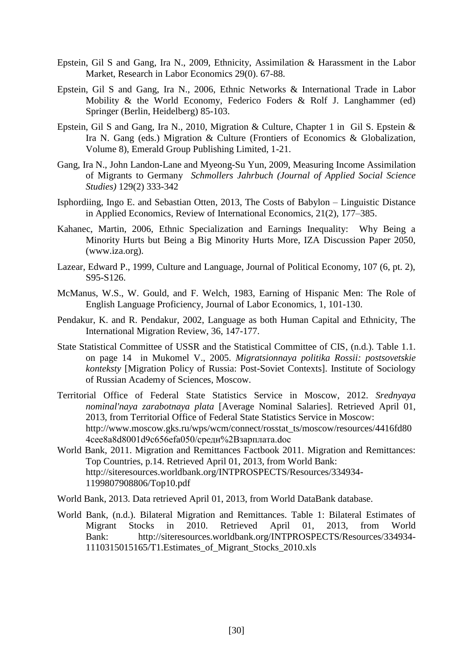- Epstein, Gil S and Gang, Ira N., 2009, Ethnicity, Assimilation & Harassment in the Labor Market, Research in Labor Economics 29(0). 67-88.
- Epstein, Gil S and Gang, Ira N., 2006, Ethnic Networks & International Trade in Labor Mobility & the World Economy, Federico Foders & Rolf J. Langhammer (ed) Springer (Berlin, Heidelberg) 85-103.
- Epstein, Gil S and Gang, Ira N., 2010, Migration & Culture, Chapter 1 in Gil S. Epstein & Ira N. Gang (eds.) Migration & Culture (Frontiers of Economics & Globalization, Volume 8), Emerald Group Publishing Limited, 1-21.
- Gang, Ira N., John Landon-Lane and Myeong-Su Yun, 2009, Measuring Income Assimilation of Migrants to Germany *Schmollers Jahrbuch (Journal of Applied Social Science Studies)* 129(2) 333-342
- Isphordiing, Ingo E. and Sebastian Otten, 2013, The Costs of Babylon Linguistic Distance in Applied Economics, Review of International Economics, 21(2), 177–385.
- Kahanec, Martin, 2006, Ethnic Specialization and Earnings Inequality: Why Being a Minority Hurts but Being a Big Minority Hurts More, IZA Discussion Paper 2050, (www.iza.org).
- Lazear, Edward P., 1999, Culture and Language, Journal of Political Economy, 107 (6, pt. 2), S95-S126.
- McManus, W.S., W. Gould, and F. Welch, 1983, Earning of Hispanic Men: The Role of English Language Proficiency, Journal of Labor Economics, 1, 101-130.
- Pendakur, K. and R. Pendakur, 2002, Language as both Human Capital and Ethnicity, The International Migration Review, 36, 147-177.
- State Statistical Committee of USSR and the Statistical Committee of CIS, (n.d.). Table 1.1. on page 14 in Mukomel V., 2005. *Migratsionnaya politika Rossii: postsovetskie konteksty* [Migration Policy of Russia: Post-Soviet Contexts]. Institute of Sociology of Russian Academy of Sciences, Moscow.
- Territorial Office of Federal State Statistics Service in Moscow, 2012. *Srednyaya nominal'naya zarabotnaya plata* [Average Nominal Salaries]. Retrieved April 01, 2013, from Territorial Office of Federal State Statistics Service in Moscow: http://www.moscow.gks.ru/wps/wcm/connect/rosstat\_ts/moscow/resources/4416fd80 4cee8a8d8001d9c656efa050/средн%2Bзарплата.doc
- World Bank, 2011. Migration and Remittances Factbook 2011. Migration and Remittances: Top Countries, p.14. Retrieved April 01, 2013, from World Bank: http://siteresources.worldbank.org/INTPROSPECTS/Resources/334934- 1199807908806/Top10.pdf
- World Bank, 2013. Data retrieved April 01, 2013, from World DataBank database.
- World Bank, (n.d.). Bilateral Migration and Remittances. Table 1: Bilateral Estimates of Migrant Stocks in 2010. Retrieved April 01, 2013, from World Bank: http://siteresources.worldbank.org/INTPROSPECTS/Resources/334934- 1110315015165/T1.Estimates\_of\_Migrant\_Stocks\_2010.xls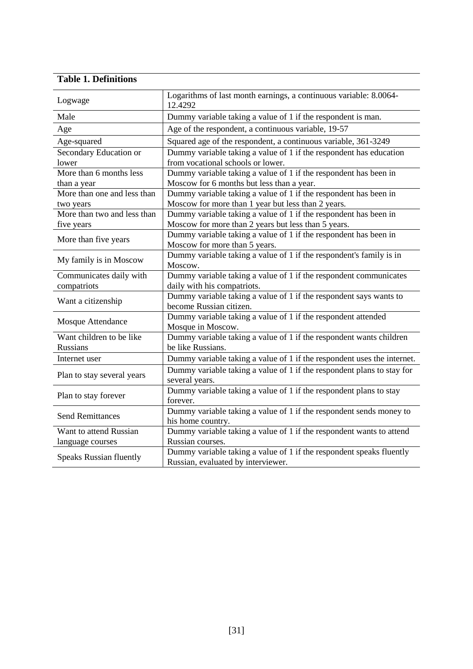### **Table 1. Definitions**

| Logwage                        | Logarithms of last month earnings, a continuous variable: 8.0064-<br>12.4292     |
|--------------------------------|----------------------------------------------------------------------------------|
| Male                           | Dummy variable taking a value of 1 if the respondent is man.                     |
| Age                            | Age of the respondent, a continuous variable, 19-57                              |
| Age-squared                    | Squared age of the respondent, a continuous variable, 361-3249                   |
| Secondary Education or         | Dummy variable taking a value of 1 if the respondent has education               |
| lower                          | from vocational schools or lower.                                                |
| More than 6 months less        | Dummy variable taking a value of 1 if the respondent has been in                 |
| than a year                    | Moscow for 6 months but less than a year.                                        |
| More than one and less than    | Dummy variable taking a value of 1 if the respondent has been in                 |
| two years                      | Moscow for more than 1 year but less than 2 years.                               |
| More than two and less than    | Dummy variable taking a value of 1 if the respondent has been in                 |
| five years                     | Moscow for more than 2 years but less than 5 years.                              |
| More than five years           | Dummy variable taking a value of 1 if the respondent has been in                 |
|                                | Moscow for more than 5 years.                                                    |
|                                | Dummy variable taking a value of 1 if the respondent's family is in              |
| My family is in Moscow         | Moscow.                                                                          |
| Communicates daily with        | Dummy variable taking a value of 1 if the respondent communicates                |
| compatriots                    | daily with his compatriots.                                                      |
| Want a citizenship             | Dummy variable taking a value of 1 if the respondent says wants to               |
|                                | become Russian citizen.                                                          |
| Mosque Attendance              | Dummy variable taking a value of 1 if the respondent attended                    |
|                                | Mosque in Moscow.                                                                |
| Want children to be like       | Dummy variable taking a value of $\overline{1}$ if the respondent wants children |
| Russians                       | be like Russians.                                                                |
| Internet user                  | Dummy variable taking a value of 1 if the respondent uses the internet.          |
|                                | Dummy variable taking a value of 1 if the respondent plans to stay for           |
| Plan to stay several years     | several years.                                                                   |
|                                | Dummy variable taking a value of 1 if the respondent plans to stay               |
| Plan to stay forever           | forever.                                                                         |
| <b>Send Remittances</b>        | Dummy variable taking a value of 1 if the respondent sends money to              |
|                                | his home country.                                                                |
| Want to attend Russian         | Dummy variable taking a value of 1 if the respondent wants to attend             |
| language courses               | Russian courses.                                                                 |
|                                | Dummy variable taking a value of 1 if the respondent speaks fluently             |
| <b>Speaks Russian fluently</b> | Russian, evaluated by interviewer.                                               |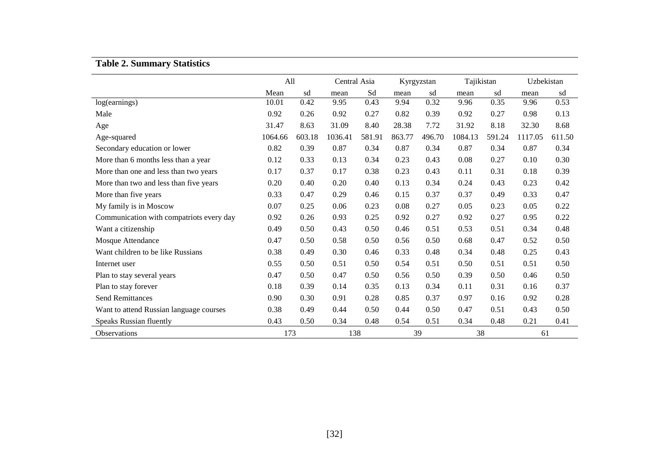# **Table 2. Summary Statistics**

|                                          | All          |        | Central Asia |        | Kyrgyzstan |        | Tajikistan |        | Uzbekistan |        |
|------------------------------------------|--------------|--------|--------------|--------|------------|--------|------------|--------|------------|--------|
|                                          | Mean         | sd     | mean         | Sd     | mean       | sd     | mean       | sd     | mean       | sd     |
| log(earnings)                            | 10.01        | 0.42   | 9.95         | 0.43   | 9.94       | 0.32   | 9.96       | 0.35   | 9.96       | 0.53   |
| Male                                     | 0.92         | 0.26   | 0.92         | 0.27   | 0.82       | 0.39   | 0.92       | 0.27   | 0.98       | 0.13   |
| Age                                      | 31.47        | 8.63   | 31.09        | 8.40   | 28.38      | 7.72   | 31.92      | 8.18   | 32.30      | 8.68   |
| Age-squared                              | 1064.66      | 603.18 | 1036.41      | 581.91 | 863.77     | 496.70 | 1084.13    | 591.24 | 1117.05    | 611.50 |
| Secondary education or lower             | 0.82         | 0.39   | 0.87         | 0.34   | 0.87       | 0.34   | 0.87       | 0.34   | 0.87       | 0.34   |
| More than 6 months less than a year      | 0.12         | 0.33   | 0.13         | 0.34   | 0.23       | 0.43   | 0.08       | 0.27   | 0.10       | 0.30   |
| More than one and less than two years    | 0.17         | 0.37   | 0.17         | 0.38   | 0.23       | 0.43   | 0.11       | 0.31   | 0.18       | 0.39   |
| More than two and less than five years   | 0.20         | 0.40   | 0.20         | 0.40   | 0.13       | 0.34   | 0.24       | 0.43   | 0.23       | 0.42   |
| More than five years                     | 0.33         | 0.47   | 0.29         | 0.46   | 0.15       | 0.37   | 0.37       | 0.49   | 0.33       | 0.47   |
| My family is in Moscow                   | 0.07         | 0.25   | 0.06         | 0.23   | 0.08       | 0.27   | 0.05       | 0.23   | 0.05       | 0.22   |
| Communication with compatriots every day | 0.92         | 0.26   | 0.93         | 0.25   | 0.92       | 0.27   | 0.92       | 0.27   | 0.95       | 0.22   |
| Want a citizenship                       | 0.49         | 0.50   | 0.43         | 0.50   | 0.46       | 0.51   | 0.53       | 0.51   | 0.34       | 0.48   |
| Mosque Attendance                        | 0.47         | 0.50   | 0.58         | 0.50   | 0.56       | 0.50   | 0.68       | 0.47   | 0.52       | 0.50   |
| Want children to be like Russians        | 0.38         | 0.49   | 0.30         | 0.46   | 0.33       | 0.48   | 0.34       | 0.48   | 0.25       | 0.43   |
| Internet user                            | 0.55         | 0.50   | 0.51         | 0.50   | 0.54       | 0.51   | 0.50       | 0.51   | 0.51       | 0.50   |
| Plan to stay several years               | 0.47         | 0.50   | 0.47         | 0.50   | 0.56       | 0.50   | 0.39       | 0.50   | 0.46       | 0.50   |
| Plan to stay forever                     | 0.18         | 0.39   | 0.14         | 0.35   | 0.13       | 0.34   | 0.11       | 0.31   | 0.16       | 0.37   |
| <b>Send Remittances</b>                  | 0.90         | 0.30   | 0.91         | 0.28   | 0.85       | 0.37   | 0.97       | 0.16   | 0.92       | 0.28   |
| Want to attend Russian language courses  | 0.38         | 0.49   | 0.44         | 0.50   | 0.44       | 0.50   | 0.47       | 0.51   | 0.43       | 0.50   |
| Speaks Russian fluently                  | 0.43<br>0.50 |        | 0.34         | 0.48   | 0.54       | 0.51   | 0.34       | 0.48   | 0.21       | 0.41   |
| Observations                             | 173          |        | 138          |        | 39         |        | 38         |        | 61         |        |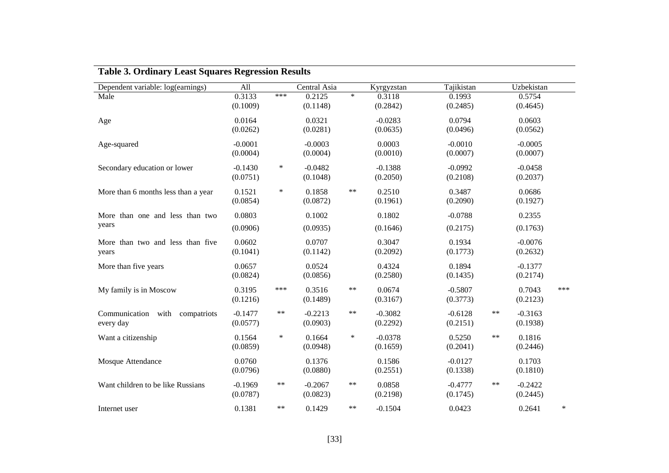| Dependent variable: log(earnings)           | All                   |        | Central Asia          |        | Kyrgyzstan            | Tajikistan            |       | Uzbekistan            |        |
|---------------------------------------------|-----------------------|--------|-----------------------|--------|-----------------------|-----------------------|-------|-----------------------|--------|
| Male                                        | 0.3133<br>(0.1009)    | ***    | 0.2125<br>(0.1148)    | $\ast$ | 0.3118<br>(0.2842)    | 0.1993<br>(0.2485)    |       | 0.5754<br>(0.4645)    |        |
| Age                                         | 0.0164<br>(0.0262)    |        | 0.0321<br>(0.0281)    |        | $-0.0283$<br>(0.0635) | 0.0794<br>(0.0496)    |       | 0.0603<br>(0.0562)    |        |
| Age-squared                                 | $-0.0001$<br>(0.0004) |        | $-0.0003$<br>(0.0004) |        | 0.0003<br>(0.0010)    | $-0.0010$<br>(0.0007) |       | $-0.0005$<br>(0.0007) |        |
| Secondary education or lower                | $-0.1430$<br>(0.0751) | $\ast$ | $-0.0482$<br>(0.1048) |        | $-0.1388$<br>(0.2050) | $-0.0992$<br>(0.2108) |       | $-0.0458$<br>(0.2037) |        |
| More than 6 months less than a year         | 0.1521<br>(0.0854)    | $\ast$ | 0.1858<br>(0.0872)    | $***$  | 0.2510<br>(0.1961)    | 0.3487<br>(0.2090)    |       | 0.0686<br>(0.1927)    |        |
| More than one and less than two<br>years    | 0.0803<br>(0.0906)    |        | 0.1002<br>(0.0935)    |        | 0.1802<br>(0.1646)    | $-0.0788$<br>(0.2175) |       | 0.2355<br>(0.1763)    |        |
| More than two and less than five<br>years   | 0.0602<br>(0.1041)    |        | 0.0707<br>(0.1142)    |        | 0.3047<br>(0.2092)    | 0.1934<br>(0.1773)    |       | $-0.0076$<br>(0.2632) |        |
| More than five years                        | 0.0657<br>(0.0824)    |        | 0.0524<br>(0.0856)    |        | 0.4324<br>(0.2580)    | 0.1894<br>(0.1435)    |       | $-0.1377$<br>(0.2174) |        |
| My family is in Moscow                      | 0.3195<br>(0.1216)    | ***    | 0.3516<br>(0.1489)    | **     | 0.0674<br>(0.3167)    | $-0.5807$<br>(0.3773) |       | 0.7043<br>(0.2123)    | ***    |
| Communication with compatriots<br>every day | $-0.1477$<br>(0.0577) | $***$  | $-0.2213$<br>(0.0903) | $***$  | $-0.3082$<br>(0.2292) | $-0.6128$<br>(0.2151) | $***$ | $-0.3163$<br>(0.1938) |        |
| Want a citizenship                          | 0.1564<br>(0.0859)    | $\ast$ | 0.1664<br>(0.0948)    | $\ast$ | $-0.0378$<br>(0.1659) | 0.5250<br>(0.2041)    | $***$ | 0.1816<br>(0.2446)    |        |
| Mosque Attendance                           | 0.0760<br>(0.0796)    |        | 0.1376<br>(0.0880)    |        | 0.1586<br>(0.2551)    | $-0.0127$<br>(0.1338) |       | 0.1703<br>(0.1810)    |        |
| Want children to be like Russians           | $-0.1969$<br>(0.0787) | $***$  | $-0.2067$<br>(0.0823) | **     | 0.0858<br>(0.2198)    | $-0.4777$<br>(0.1745) | $***$ | $-0.2422$<br>(0.2445) |        |
| Internet user                               | 0.1381                | $***$  | 0.1429                | **     | $-0.1504$             | 0.0423                |       | 0.2641                | $\ast$ |

### **Table 3. Ordinary Least Squares Regression Results**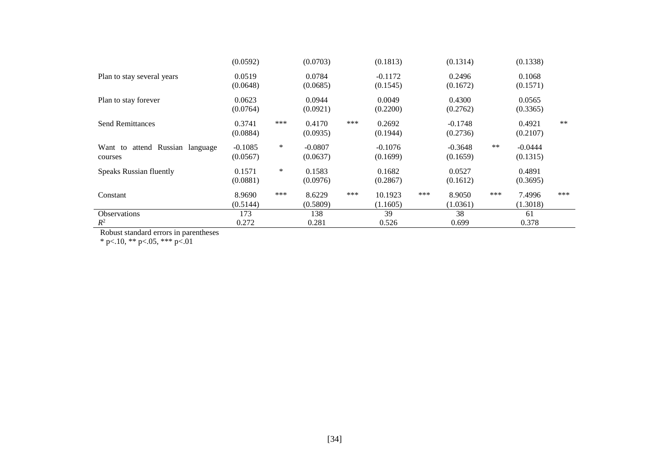|                                 | (0.0592)  |        | (0.0703)  |     | (0.1813)  |     | (0.1314)  |       | (0.1338)  |       |
|---------------------------------|-----------|--------|-----------|-----|-----------|-----|-----------|-------|-----------|-------|
| Plan to stay several years      | 0.0519    |        | 0.0784    |     | $-0.1172$ |     | 0.2496    |       | 0.1068    |       |
|                                 | (0.0648)  |        | (0.0685)  |     | (0.1545)  |     | (0.1672)  |       | (0.1571)  |       |
| Plan to stay forever            | 0.0623    |        | 0.0944    |     | 0.0049    |     | 0.4300    |       | 0.0565    |       |
|                                 | (0.0764)  |        | (0.0921)  |     | (0.2200)  |     | (0.2762)  |       | (0.3365)  |       |
| <b>Send Remittances</b>         | 0.3741    | ***    | 0.4170    | *** | 0.2692    |     | $-0.1748$ |       | 0.4921    | $***$ |
|                                 | (0.0884)  |        | (0.0935)  |     | (0.1944)  |     | (0.2736)  |       | (0.2107)  |       |
| Want to attend Russian language | $-0.1085$ | $\ast$ | $-0.0807$ |     | $-0.1076$ |     | $-0.3648$ | $***$ | $-0.0444$ |       |
| courses                         | (0.0567)  |        | (0.0637)  |     | (0.1699)  |     | (0.1659)  |       | (0.1315)  |       |
| <b>Speaks Russian fluently</b>  | 0.1571    | ∗      | 0.1583    |     | 0.1682    |     | 0.0527    |       | 0.4891    |       |
|                                 | (0.0881)  |        | (0.0976)  |     | (0.2867)  |     | (0.1612)  |       | (0.3695)  |       |
| Constant                        | 8.9690    | ***    | 8.6229    | *** | 10.1923   | *** | 8.9050    | ***   | 7.4996    | ***   |
|                                 | (0.5144)  |        | (0.5809)  |     | (1.1605)  |     | (1.0361)  |       | (1.3018)  |       |
| <b>Observations</b>             | 173       |        | 138       |     | 39        |     | 38        |       | 61        |       |
| $R^2$                           | 0.272     |        | 0.281     |     | 0.526     |     | 0.699     |       | 0.378     |       |

Robust standard errors in parentheses

\* p<.10, \*\* p<.05, \*\*\* p<.01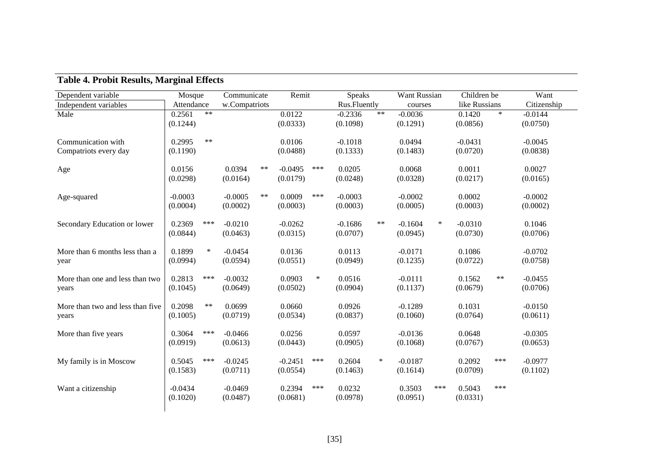| Dependent variable                          | Mosque                |        | Communicate           |       | Remit                 |        | Speaks                |        | Want Russian          |        | Children be           |        | Want                  |  |
|---------------------------------------------|-----------------------|--------|-----------------------|-------|-----------------------|--------|-----------------------|--------|-----------------------|--------|-----------------------|--------|-----------------------|--|
| Independent variables                       | Attendance            |        | w.Compatriots         |       |                       |        | Rus.Fluently          |        | courses               |        | like Russians         |        | Citizenship           |  |
| Male                                        | 0.2561<br>(0.1244)    | $**$   |                       |       | 0.0122<br>(0.0333)    |        | $-0.2336$<br>(0.1098) | $**$   | $-0.0036$<br>(0.1291) |        | 0.1420<br>(0.0856)    | $\ast$ | $-0.0144$<br>(0.0750) |  |
| Communication with<br>Compatriots every day | 0.2995<br>(0.1190)    | $***$  |                       |       | 0.0106<br>(0.0488)    |        | $-0.1018$<br>(0.1333) |        | 0.0494<br>(0.1483)    |        | $-0.0431$<br>(0.0720) |        | $-0.0045$<br>(0.0838) |  |
| Age                                         | 0.0156<br>(0.0298)    |        | 0.0394<br>(0.0164)    | **    | $-0.0495$<br>(0.0179) | ***    | 0.0205<br>(0.0248)    |        | 0.0068<br>(0.0328)    |        | 0.0011<br>(0.0217)    |        | 0.0027<br>(0.0165)    |  |
| Age-squared                                 | $-0.0003$<br>(0.0004) |        | $-0.0005$<br>(0.0002) | $***$ | 0.0009<br>(0.0003)    | ***    | $-0.0003$<br>(0.0003) |        | $-0.0002$<br>(0.0005) |        | 0.0002<br>(0.0003)    |        | $-0.0002$<br>(0.0002) |  |
| Secondary Education or lower                | 0.2369<br>(0.0844)    | ***    | $-0.0210$<br>(0.0463) |       | $-0.0262$<br>(0.0315) |        | $-0.1686$<br>(0.0707) | $***$  | $-0.1604$<br>(0.0945) | $\ast$ | $-0.0310$<br>(0.0730) |        | 0.1046<br>(0.0706)    |  |
| More than 6 months less than a<br>year      | 0.1899<br>(0.0994)    | $\ast$ | $-0.0454$<br>(0.0594) |       | 0.0136<br>(0.0551)    |        | 0.0113<br>(0.0949)    |        | $-0.0171$<br>(0.1235) |        | 0.1086<br>(0.0722)    |        | $-0.0702$<br>(0.0758) |  |
| More than one and less than two<br>years    | 0.2813<br>(0.1045)    | ***    | $-0.0032$<br>(0.0649) |       | 0.0903<br>(0.0502)    | $\ast$ | 0.0516<br>(0.0904)    |        | $-0.0111$<br>(0.1137) |        | 0.1562<br>(0.0679)    | $***$  | $-0.0455$<br>(0.0706) |  |
| More than two and less than five<br>years   | 0.2098<br>(0.1005)    | $***$  | 0.0699<br>(0.0719)    |       | 0.0660<br>(0.0534)    |        | 0.0926<br>(0.0837)    |        | $-0.1289$<br>(0.1060) |        | 0.1031<br>(0.0764)    |        | $-0.0150$<br>(0.0611) |  |
| More than five years                        | 0.3064<br>(0.0919)    | ***    | $-0.0466$<br>(0.0613) |       | 0.0256<br>(0.0443)    |        | 0.0597<br>(0.0905)    |        | $-0.0136$<br>(0.1068) |        | 0.0648<br>(0.0767)    |        | $-0.0305$<br>(0.0653) |  |
| My family is in Moscow                      | 0.5045<br>(0.1583)    | ***    | $-0.0245$<br>(0.0711) |       | $-0.2451$<br>(0.0554) | ***    | 0.2604<br>(0.1463)    | $\ast$ | $-0.0187$<br>(0.1614) |        | 0.2092<br>(0.0709)    | ***    | $-0.0977$<br>(0.1102) |  |
| Want a citizenship                          | $-0.0434$<br>(0.1020) |        | $-0.0469$<br>(0.0487) |       | 0.2394<br>(0.0681)    | ***    | 0.0232<br>(0.0978)    |        | 0.3503<br>(0.0951)    | ***    | 0.5043<br>(0.0331)    | ***    |                       |  |

# **Table 4. Probit Results, Marginal Effects**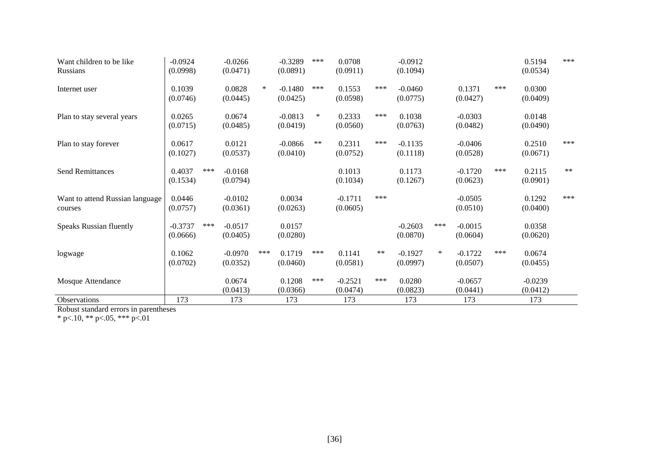| Want children to be like<br><b>Russians</b> | $-0.0924$<br>(0.0998) |     | $-0.0266$<br>(0.0471) |     | $-0.3289$<br>(0.0891) | ***    | 0.0708<br>(0.0911)    |       | $-0.0912$<br>(0.1094) |        |                       |     | 0.5194<br>(0.0534)    | ***  |
|---------------------------------------------|-----------------------|-----|-----------------------|-----|-----------------------|--------|-----------------------|-------|-----------------------|--------|-----------------------|-----|-----------------------|------|
| Internet user                               | 0.1039<br>(0.0746)    |     | 0.0828<br>(0.0445)    | ∗   | $-0.1480$<br>(0.0425) | ***    | 0.1553<br>(0.0598)    | ***   | $-0.0460$<br>(0.0775) |        | 0.1371<br>(0.0427)    | *** | 0.0300<br>(0.0409)    |      |
| Plan to stay several years                  | 0.0265<br>(0.0715)    |     | 0.0674<br>(0.0485)    |     | $-0.0813$<br>(0.0419) | $\ast$ | 0.2333<br>(0.0560)    | ***   | 0.1038<br>(0.0763)    |        | $-0.0303$<br>(0.0482) |     | 0.0148<br>(0.0490)    |      |
| Plan to stay forever                        | 0.0617<br>(0.1027)    |     | 0.0121<br>(0.0537)    |     | $-0.0866$<br>(0.0410) | $***$  | 0.2311<br>(0.0752)    | ***   | $-0.1135$<br>(0.1118) |        | $-0.0406$<br>(0.0528) |     | 0.2510<br>(0.0671)    | ***  |
| <b>Send Remittances</b>                     | 0.4037<br>(0.1534)    | *** | $-0.0168$<br>(0.0794) |     |                       |        | 0.1013<br>(0.1034)    |       | 0.1173<br>(0.1267)    |        | $-0.1720$<br>(0.0623) | *** | 0.2115<br>(0.0901)    | $**$ |
| Want to attend Russian language<br>courses  | 0.0446<br>(0.0757)    |     | $-0.0102$<br>(0.0361) |     | 0.0034<br>(0.0263)    |        | $-0.1711$<br>(0.0605) | ***   |                       |        | $-0.0505$<br>(0.0510) |     | 0.1292<br>(0.0400)    | ***  |
| <b>Speaks Russian fluently</b>              | $-0.3737$<br>(0.0666) | *** | $-0.0517$<br>(0.0405) |     | 0.0157<br>(0.0280)    |        |                       |       | $-0.2603$<br>(0.0870) | ***    | $-0.0015$<br>(0.0604) |     | 0.0358<br>(0.0620)    |      |
| logwage                                     | 0.1062<br>(0.0702)    |     | $-0.0970$<br>(0.0352) | *** | 0.1719<br>(0.0460)    | ***    | 0.1141<br>(0.0581)    | $***$ | $-0.1927$<br>(0.0997) | $\ast$ | $-0.1722$<br>(0.0507) | *** | 0.0674<br>(0.0455)    |      |
| Mosque Attendance                           |                       |     | 0.0674<br>(0.0413)    |     | 0.1208<br>(0.0366)    | ***    | $-0.2521$<br>(0.0474) | ***   | 0.0280<br>(0.0823)    |        | $-0.0657$<br>(0.0441) |     | $-0.0239$<br>(0.0412) |      |
| Observations                                | 173                   |     | 173                   |     | 173                   |        | 173                   |       | 173                   |        | 173                   |     | 173                   |      |

Robust standard errors in parentheses

 $*$  p $< 10$ ,  $**$  p $< 05$ ,  $**$  p $< 01$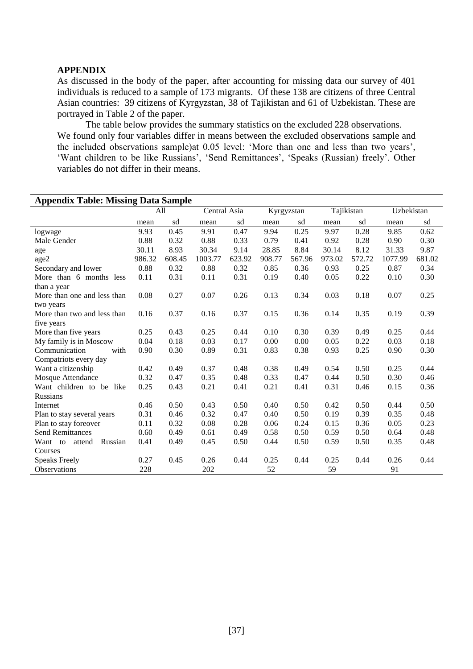#### **APPENDIX**

As discussed in the body of the paper, after accounting for missing data our survey of 401 individuals is reduced to a sample of 173 migrants. Of these 138 are citizens of three Central Asian countries: 39 citizens of Kyrgyzstan, 38 of Tajikistan and 61 of Uzbekistan. These are portrayed in Table 2 of the paper.

The table below provides the summary statistics on the excluded 228 observations. We found only four variables differ in means between the excluded observations sample and the included observations sample)at 0.05 level: 'More than one and less than two years', 'Want children to be like Russians', 'Send Remittances', 'Speaks (Russian) freely'. Other variables do not differ in their means.

| <b>Appendix Table: Missing Data Sample</b> |        |        |              |        |        |            |        |            |            |        |  |  |  |
|--------------------------------------------|--------|--------|--------------|--------|--------|------------|--------|------------|------------|--------|--|--|--|
|                                            |        | All    | Central Asia |        |        | Kyrgyzstan |        | Tajikistan | Uzbekistan |        |  |  |  |
|                                            | mean   | sd     | mean         | sd     | mean   | sd         | mean   | sd         | mean       | sd     |  |  |  |
| logwage                                    | 9.93   | 0.45   | 9.91         | 0.47   | 9.94   | 0.25       | 9.97   | 0.28       | 9.85       | 0.62   |  |  |  |
| Male Gender                                | 0.88   | 0.32   | 0.88         | 0.33   | 0.79   | 0.41       | 0.92   | 0.28       | 0.90       | 0.30   |  |  |  |
| age                                        | 30.11  | 8.93   | 30.34        | 9.14   | 28.85  | 8.84       | 30.14  | 8.12       | 31.33      | 9.87   |  |  |  |
| age2                                       | 986.32 | 608.45 | 1003.77      | 623.92 | 908.77 | 567.96     | 973.02 | 572.72     | 1077.99    | 681.02 |  |  |  |
| Secondary and lower                        | 0.88   | 0.32   | 0.88         | 0.32   | 0.85   | 0.36       | 0.93   | 0.25       | 0.87       | 0.34   |  |  |  |
| More than 6 months less                    | 0.11   | 0.31   | 0.11         | 0.31   | 0.19   | 0.40       | 0.05   | 0.22       | 0.10       | 0.30   |  |  |  |
| than a year                                |        |        |              |        |        |            |        |            |            |        |  |  |  |
| More than one and less than                | 0.08   | 0.27   | 0.07         | 0.26   | 0.13   | 0.34       | 0.03   | 0.18       | 0.07       | 0.25   |  |  |  |
| two years                                  |        |        |              |        |        |            |        |            |            |        |  |  |  |
| More than two and less than                | 0.16   | 0.37   | 0.16         | 0.37   | 0.15   | 0.36       | 0.14   | 0.35       | 0.19       | 0.39   |  |  |  |
| five years                                 |        |        |              |        |        |            |        |            |            |        |  |  |  |
| More than five years                       | 0.25   | 0.43   | 0.25         | 0.44   | 0.10   | 0.30       | 0.39   | 0.49       | 0.25       | 0.44   |  |  |  |
| My family is in Moscow                     | 0.04   | 0.18   | 0.03         | 0.17   | 0.00   | 0.00       | 0.05   | 0.22       | 0.03       | 0.18   |  |  |  |
| Communication<br>with                      | 0.90   | 0.30   | 0.89         | 0.31   | 0.83   | 0.38       | 0.93   | 0.25       | 0.90       | 0.30   |  |  |  |
| Compatriots every day                      |        |        |              |        |        |            |        |            |            |        |  |  |  |
| Want a citizenship                         | 0.42   | 0.49   | 0.37         | 0.48   | 0.38   | 0.49       | 0.54   | 0.50       | 0.25       | 0.44   |  |  |  |
| Mosque Attendance                          | 0.32   | 0.47   | 0.35         | 0.48   | 0.33   | 0.47       | 0.44   | 0.50       | 0.30       | 0.46   |  |  |  |
| Want children to be like                   | 0.25   | 0.43   | 0.21         | 0.41   | 0.21   | 0.41       | 0.31   | 0.46       | 0.15       | 0.36   |  |  |  |
| <b>Russians</b>                            |        |        |              |        |        |            |        |            |            |        |  |  |  |
| Internet                                   | 0.46   | 0.50   | 0.43         | 0.50   | 0.40   | 0.50       | 0.42   | 0.50       | 0.44       | 0.50   |  |  |  |
| Plan to stay several years                 | 0.31   | 0.46   | 0.32         | 0.47   | 0.40   | 0.50       | 0.19   | 0.39       | 0.35       | 0.48   |  |  |  |
| Plan to stay foreover                      | 0.11   | 0.32   | 0.08         | 0.28   | 0.06   | 0.24       | 0.15   | 0.36       | 0.05       | 0.23   |  |  |  |
| <b>Send Remittances</b>                    | 0.60   | 0.49   | 0.61         | 0.49   | 0.58   | 0.50       | 0.59   | 0.50       | 0.64       | 0.48   |  |  |  |
| Russian<br>Want to<br>attend               | 0.41   | 0.49   | 0.45         | 0.50   | 0.44   | 0.50       | 0.59   | 0.50       | 0.35       | 0.48   |  |  |  |
| Courses                                    |        |        |              |        |        |            |        |            |            |        |  |  |  |
| <b>Speaks Freely</b>                       | 0.27   | 0.45   | 0.26         | 0.44   | 0.25   | 0.44       | 0.25   | 0.44       | 0.26       | 0.44   |  |  |  |
| Observations                               | 228    |        | 202          |        | 52     |            | 59     |            | 91         |        |  |  |  |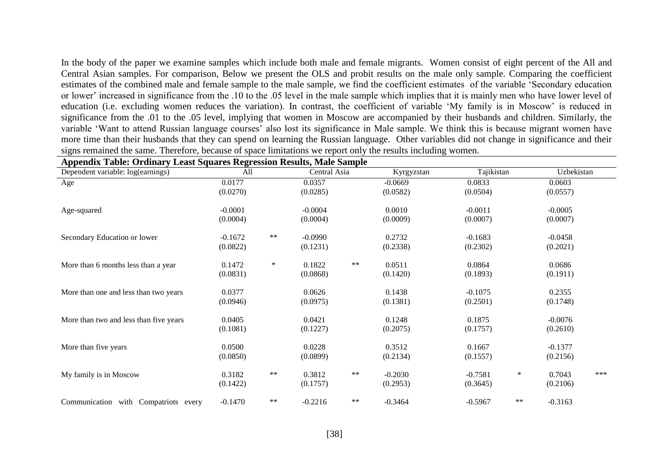In the body of the paper we examine samples which include both male and female migrants. Women consist of eight percent of the All and Central Asian samples. For comparison, Below we present the OLS and probit results on the male only sample. Comparing the coefficient estimates of the combined male and female sample to the male sample, we find the coefficient estimates of the variable 'Secondary education or lower' increased in significance from the .10 to the .05 level in the male sample which implies that it is mainly men who have lower level of education (i.e. excluding women reduces the variation). In contrast, the coefficient of variable 'My family is in Moscow' is reduced in significance from the .01 to the .05 level, implying that women in Moscow are accompanied by their husbands and children. Similarly, the variable 'Want to attend Russian language courses' also lost its significance in Male sample. We think this is because migrant women have more time than their husbands that they can spend on learning the Russian language. Other variables did not change in significance and their signs remained the same. Therefore, because of space limitations we report only the results including women.

| Appendix Table: Ordinary Least Squares Regression Results, Male Sample |                       |        |                       |       |                       |                       |        |                       |     |  |  |  |  |
|------------------------------------------------------------------------|-----------------------|--------|-----------------------|-------|-----------------------|-----------------------|--------|-----------------------|-----|--|--|--|--|
| Dependent variable: log(earnings)                                      | All                   |        | Central Asia          |       | Kyrgyzstan            | Tajikistan            |        | Uzbekistan            |     |  |  |  |  |
| Age                                                                    | 0.0177<br>(0.0270)    |        | 0.0357<br>(0.0285)    |       | $-0.0669$<br>(0.0582) | 0.0833<br>(0.0504)    |        | 0.0603<br>(0.0557)    |     |  |  |  |  |
| Age-squared                                                            | $-0.0001$<br>(0.0004) |        | $-0.0004$<br>(0.0004) |       | 0.0010<br>(0.0009)    | $-0.0011$<br>(0.0007) |        | $-0.0005$<br>(0.0007) |     |  |  |  |  |
| Secondary Education or lower                                           | $-0.1672$<br>(0.0822) | $***$  | $-0.0990$<br>(0.1231) |       | 0.2732<br>(0.2338)    | $-0.1683$<br>(0.2302) |        | $-0.0458$<br>(0.2021) |     |  |  |  |  |
| More than 6 months less than a year                                    | 0.1472<br>(0.0831)    | $\ast$ | 0.1822<br>(0.0868)    | $***$ | 0.0511<br>(0.1420)    | 0.0864<br>(0.1893)    |        | 0.0686<br>(0.1911)    |     |  |  |  |  |
| More than one and less than two years                                  | 0.0377<br>(0.0946)    |        | 0.0626<br>(0.0975)    |       | 0.1438<br>(0.1381)    | $-0.1075$<br>(0.2501) |        | 0.2355<br>(0.1748)    |     |  |  |  |  |
| More than two and less than five years                                 | 0.0405<br>(0.1081)    |        | 0.0421<br>(0.1227)    |       | 0.1248<br>(0.2075)    | 0.1875<br>(0.1757)    |        | $-0.0076$<br>(0.2610) |     |  |  |  |  |
| More than five years                                                   | 0.0500<br>(0.0850)    |        | 0.0228<br>(0.0899)    |       | 0.3512<br>(0.2134)    | 0.1667<br>(0.1557)    |        | $-0.1377$<br>(0.2156) |     |  |  |  |  |
| My family is in Moscow                                                 | 0.3182<br>(0.1422)    | $***$  | 0.3812<br>(0.1757)    | $***$ | $-0.2030$<br>(0.2953) | $-0.7581$<br>(0.3645) | $\ast$ | 0.7043<br>(0.2106)    | *** |  |  |  |  |
| Communication with Compatriots every                                   | $-0.1470$             | $***$  | $-0.2216$             | $***$ | $-0.3464$             | $-0.5967$             | $***$  | $-0.3163$             |     |  |  |  |  |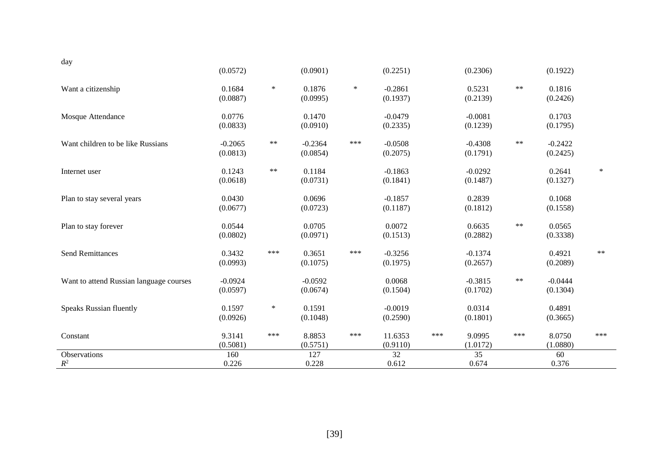| day                                     |           |        |           |        |           |     |           |       |           |        |
|-----------------------------------------|-----------|--------|-----------|--------|-----------|-----|-----------|-------|-----------|--------|
|                                         | (0.0572)  |        | (0.0901)  |        | (0.2251)  |     | (0.2306)  |       | (0.1922)  |        |
| Want a citizenship                      | 0.1684    | $\ast$ | 0.1876    | $\ast$ | $-0.2861$ |     | 0.5231    | $***$ | 0.1816    |        |
|                                         | (0.0887)  |        | (0.0995)  |        | (0.1937)  |     | (0.2139)  |       | (0.2426)  |        |
| Mosque Attendance                       | 0.0776    |        | 0.1470    |        | $-0.0479$ |     | $-0.0081$ |       | 0.1703    |        |
|                                         | (0.0833)  |        | (0.0910)  |        | (0.2335)  |     | (0.1239)  |       | (0.1795)  |        |
| Want children to be like Russians       | $-0.2065$ | $***$  | $-0.2364$ | ***    | $-0.0508$ |     | $-0.4308$ | $***$ | $-0.2422$ |        |
|                                         | (0.0813)  |        | (0.0854)  |        | (0.2075)  |     | (0.1791)  |       | (0.2425)  |        |
| Internet user                           | 0.1243    | $***$  | 0.1184    |        | $-0.1863$ |     | $-0.0292$ |       | 0.2641    | $\ast$ |
|                                         | (0.0618)  |        | (0.0731)  |        | (0.1841)  |     | (0.1487)  |       | (0.1327)  |        |
| Plan to stay several years              | 0.0430    |        | 0.0696    |        | $-0.1857$ |     | 0.2839    |       | 0.1068    |        |
|                                         | (0.0677)  |        | (0.0723)  |        | (0.1187)  |     | (0.1812)  |       | (0.1558)  |        |
| Plan to stay forever                    | 0.0544    |        | 0.0705    |        | 0.0072    |     | 0.6635    | $**$  | 0.0565    |        |
|                                         | (0.0802)  |        | (0.0971)  |        | (0.1513)  |     | (0.2882)  |       | (0.3338)  |        |
| <b>Send Remittances</b>                 | 0.3432    | ***    | 0.3651    | ***    | $-0.3256$ |     | $-0.1374$ |       | 0.4921    | $***$  |
|                                         | (0.0993)  |        | (0.1075)  |        | (0.1975)  |     | (0.2657)  |       | (0.2089)  |        |
| Want to attend Russian language courses | $-0.0924$ |        | $-0.0592$ |        | 0.0068    |     | $-0.3815$ | $***$ | $-0.0444$ |        |
|                                         | (0.0597)  |        | (0.0674)  |        | (0.1504)  |     | (0.1702)  |       | (0.1304)  |        |
| <b>Speaks Russian fluently</b>          | 0.1597    | $\ast$ | 0.1591    |        | $-0.0019$ |     | 0.0314    |       | 0.4891    |        |
|                                         | (0.0926)  |        | (0.1048)  |        | (0.2590)  |     | (0.1801)  |       | (0.3665)  |        |
| Constant                                | 9.3141    | ***    | 8.8853    | ***    | 11.6353   | *** | 9.0995    | ***   | 8.0750    | ***    |
|                                         | (0.5081)  |        | (0.5751)  |        | (0.9110)  |     | (1.0172)  |       | (1.0880)  |        |
| Observations                            | 160       |        | 127       |        | 32        |     | 35        |       | 60        |        |
| $R^2$                                   | 0.226     |        | 0.228     |        | 0.612     |     | 0.674     |       | 0.376     |        |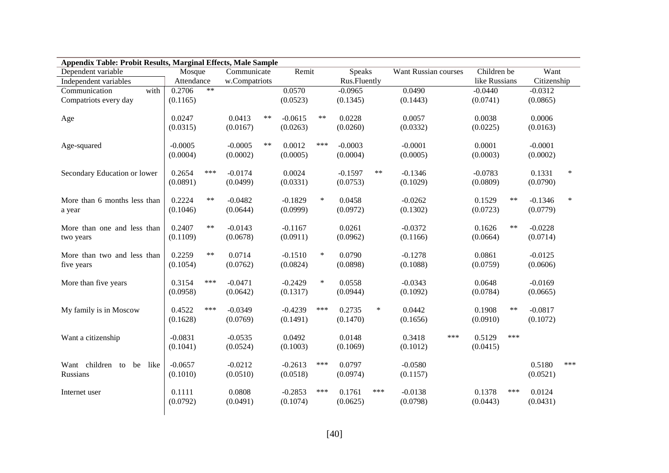| Dependent variable             | Remit<br>Mosque<br>Communicate |            |               | Speaks |           | Want Russian courses | Children be  | Want   |               |               |       |             |        |
|--------------------------------|--------------------------------|------------|---------------|--------|-----------|----------------------|--------------|--------|---------------|---------------|-------|-------------|--------|
| Independent variables          | Attendance                     |            | w.Compatriots |        |           |                      | Rus.Fluently |        |               | like Russians |       | Citizenship |        |
| Communication<br>with          | 0.2706                         | $**$       |               |        | 0.0570    |                      | $-0.0965$    |        | 0.0490        | $-0.0440$     |       | $-0.0312$   |        |
| Compatriots every day          | (0.1165)                       |            |               |        | (0.0523)  |                      | (0.1345)     |        | (0.1443)      | (0.0741)      |       | (0.0865)    |        |
| Age                            | 0.0247                         |            | 0.0413        | $***$  | $-0.0615$ | $**$                 | 0.0228       |        | 0.0057        | 0.0038        |       | 0.0006      |        |
|                                | (0.0315)                       |            | (0.0167)      |        | (0.0263)  |                      | (0.0260)     |        | (0.0332)      | (0.0225)      |       | (0.0163)    |        |
| Age-squared                    | $-0.0005$                      |            | $-0.0005$     | $***$  | 0.0012    | ***                  | $-0.0003$    |        | $-0.0001$     | 0.0001        |       | $-0.0001$   |        |
|                                | (0.0004)                       |            | (0.0002)      |        | (0.0005)  |                      | (0.0004)     |        | (0.0005)      | (0.0003)      |       | (0.0002)    |        |
| Secondary Education or lower   | 0.2654                         | ***        | $-0.0174$     |        | 0.0024    |                      | $-0.1597$    | $**$   | $-0.1346$     | $-0.0783$     |       | 0.1331      | $\ast$ |
|                                | (0.0891)                       |            | (0.0499)      |        | (0.0331)  |                      | (0.0753)     |        | (0.1029)      | (0.0809)      |       | (0.0790)    |        |
| More than 6 months less than   | 0.2224                         | $***$      | $-0.0482$     |        | $-0.1829$ | $\ast$               | 0.0458       |        | $-0.0262$     | 0.1529        | $***$ | $-0.1346$   | ∗      |
| a year                         | (0.1046)                       |            | (0.0644)      |        | (0.0999)  |                      | (0.0972)     |        | (0.1302)      | (0.0723)      |       | (0.0779)    |        |
| More than one and less than    | 0.2407                         | $\ast\ast$ | $-0.0143$     |        | $-0.1167$ |                      | 0.0261       |        | $-0.0372$     | 0.1626        | $***$ | $-0.0228$   |        |
| two years                      | (0.1109)                       |            | (0.0678)      |        | (0.0911)  |                      | (0.0962)     |        | (0.1166)      | (0.0664)      |       | (0.0714)    |        |
| More than two and less than    | 0.2259                         | $***$      | 0.0714        |        | $-0.1510$ | $\ast$               | 0.0790       |        | $-0.1278$     | 0.0861        |       | $-0.0125$   |        |
| five years                     | (0.1054)                       |            | (0.0762)      |        | (0.0824)  |                      | (0.0898)     |        | (0.1088)      | (0.0759)      |       | (0.0606)    |        |
| More than five years           | 0.3154                         | ***        | $-0.0471$     |        | $-0.2429$ | $\ast$               | 0.0558       |        | $-0.0343$     | 0.0648        |       | $-0.0169$   |        |
|                                | (0.0958)                       |            | (0.0642)      |        | (0.1317)  |                      | (0.0944)     |        | (0.1092)      | (0.0784)      |       | (0.0665)    |        |
| My family is in Moscow         | 0.4522                         | ***        | $-0.0349$     |        | $-0.4239$ | ***                  | 0.2735       | $\ast$ | 0.0442        | 0.1908        | **    | $-0.0817$   |        |
|                                | (0.1628)                       |            | (0.0769)      |        | (0.1491)  |                      | (0.1470)     |        | (0.1656)      | (0.0910)      |       | (0.1072)    |        |
| Want a citizenship             | $-0.0831$                      |            | $-0.0535$     |        | 0.0492    |                      | 0.0148       |        | 0.3418<br>*** | 0.5129        | ***   |             |        |
|                                | (0.1041)                       |            | (0.0524)      |        | (0.1003)  |                      | (0.1069)     |        | (0.1012)      | (0.0415)      |       |             |        |
| Want children to<br>like<br>be | $-0.0657$                      |            | $-0.0212$     |        | $-0.2613$ | ***                  | 0.0797       |        | $-0.0580$     |               |       | 0.5180      | ***    |
| Russians                       | (0.1010)                       |            | (0.0510)      |        | (0.0518)  |                      | (0.0974)     |        | (0.1157)      |               |       | (0.0521)    |        |
| Internet user                  | 0.1111                         |            | 0.0808        |        | $-0.2853$ | ***                  | 0.1761       | ***    | $-0.0138$     | 0.1378        | ***   | 0.0124      |        |
|                                | (0.0792)                       |            | (0.0491)      |        | (0.1074)  |                      | (0.0625)     |        | (0.0798)      | (0.0443)      |       | (0.0431)    |        |